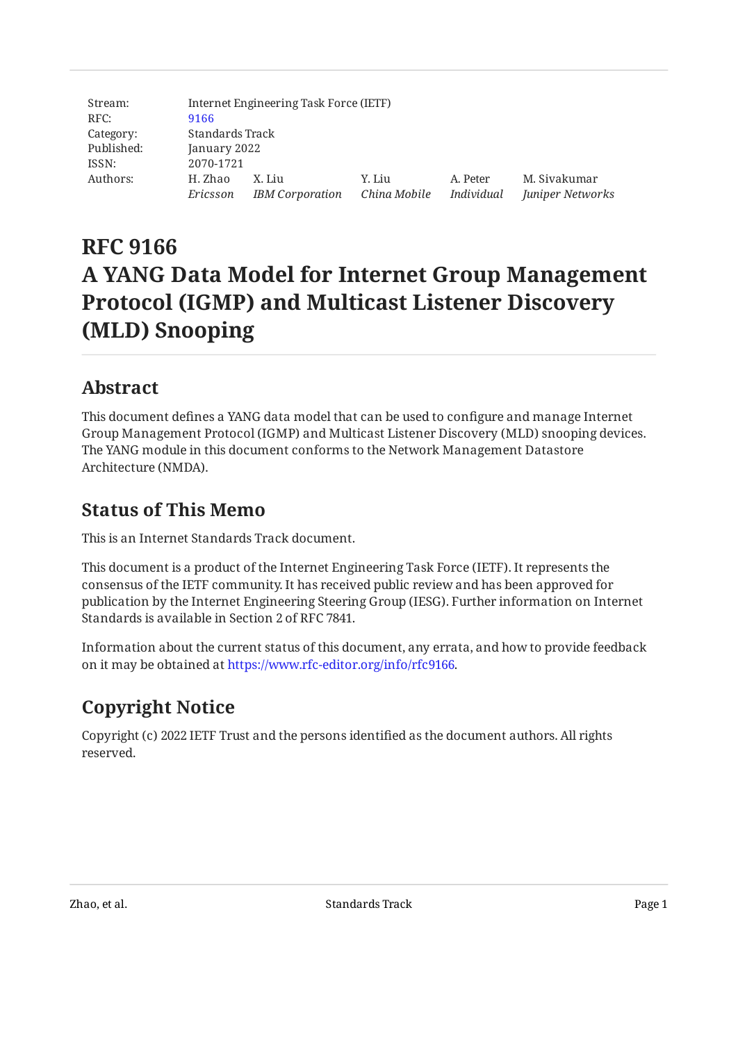| Stream:    | Internet Engineering Task Force (IETF) |                              |        |            |                  |
|------------|----------------------------------------|------------------------------|--------|------------|------------------|
| RFC:       | 9166                                   |                              |        |            |                  |
| Category:  | Standards Track                        |                              |        |            |                  |
| Published: | January 2022                           |                              |        |            |                  |
| ISSN:      | 2070-1721                              |                              |        |            |                  |
| Authors:   | H. Zhao                                | X. Liu                       | Y. Liu | A. Peter   | M. Sivakumar     |
|            | Ericsson                               | IBM Corporation China Mobile |        | Individual | Juniper Networks |

# **RFC 9166 A YANG Data Model for Internet Group Management Protocol (IGMP) and Multicast Listener Discovery (MLD) Snooping**

## <span id="page-0-0"></span>**[Abstract](#page-0-0)**

This document defines a YANG data model that can be used to configure and manage Internet Group Management Protocol (IGMP) and Multicast Listener Discovery (MLD) snooping devices. The YANG module in this document conforms to the Network Management Datastore Architecture (NMDA).

## <span id="page-0-1"></span>**[Status of This Memo](#page-0-1)**

This is an Internet Standards Track document.

This document is a product of the Internet Engineering Task Force (IETF). It represents the consensus of the IETF community. It has received public review and has been approved for publication by the Internet Engineering Steering Group (IESG). Further information on Internet Standards is available in Section 2 of RFC 7841.

Information about the current status of this document, any errata, and how to provide feedback on it may be obtained at [https://www.rfc-editor.org/info/rfc9166.](https://www.rfc-editor.org/info/rfc9166)

## <span id="page-0-2"></span>**[Copyright Notice](#page-0-2)**

Copyright (c) 2022 IETF Trust and the persons identified as the document authors. All rights reserved.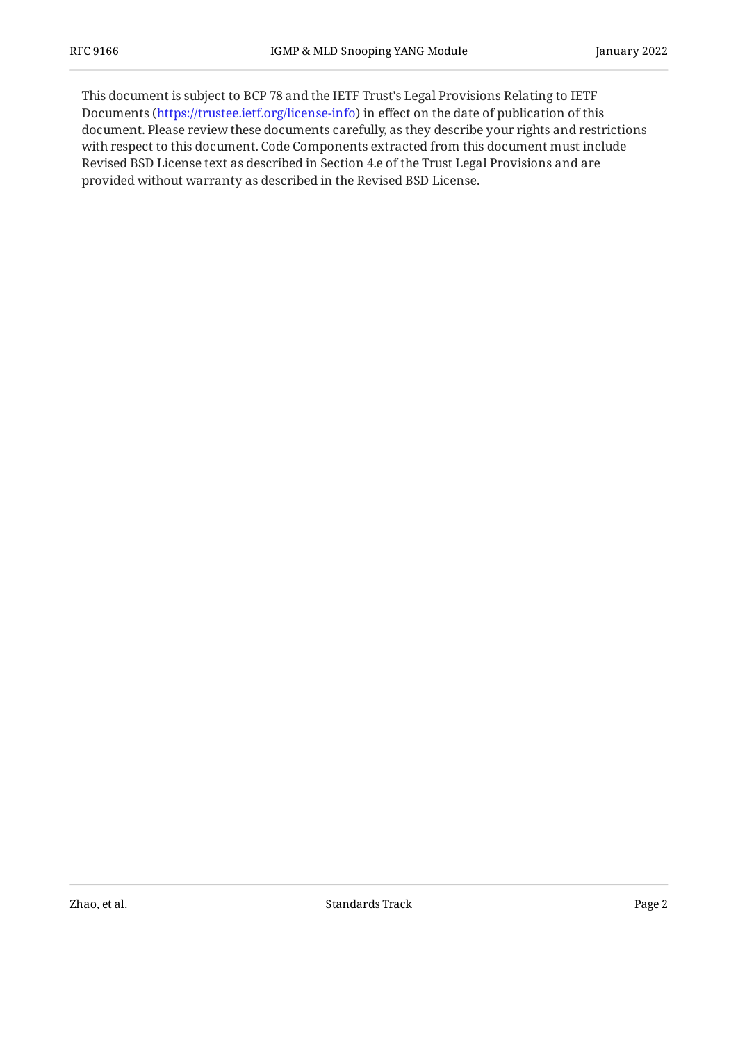This document is subject to BCP 78 and the IETF Trust's Legal Provisions Relating to IETF Documents (<https://trustee.ietf.org/license-info>) in effect on the date of publication of this document. Please review these documents carefully, as they describe your rights and restrictions with respect to this document. Code Components extracted from this document must include Revised BSD License text as described in Section 4.e of the Trust Legal Provisions and are provided without warranty as described in the Revised BSD License.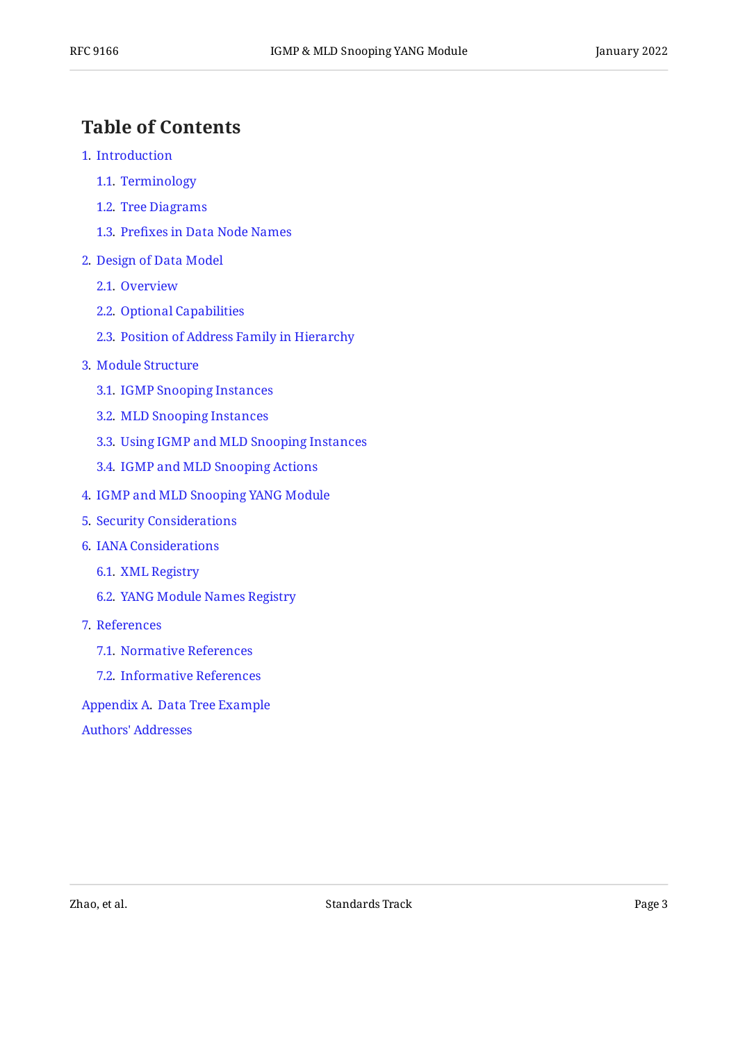## <span id="page-2-0"></span>**[Table of Contents](#page-2-0)**

- [1](#page-3-0). [Introduction](#page-3-0)
	- [1.1.](#page-3-1) [Terminology](#page-3-1)
	- [1.2.](#page-3-2) [Tree Diagrams](#page-3-2)
	- [1.3.](#page-3-3) Prefi[xes in Data Node Names](#page-3-3)
- [2](#page-4-0). [Design of Data Model](#page-4-0)
	- [2.1.](#page-4-1) [Overview](#page-4-1)
	- [2.2.](#page-5-0) [Optional Capabilities](#page-5-0)
	- [2.3.](#page-5-1) [Position of Address Family in Hierarchy](#page-5-1)
- [3](#page-5-2). [Module Structure](#page-5-2)
	- [3.1.](#page-6-0) [IGMP Snooping Instances](#page-6-0)
	- [3.2.](#page-8-0) [MLD Snooping Instances](#page-8-0)
	- [3.3.](#page-10-0) [Using IGMP and MLD Snooping Instances](#page-10-0)
	- [3.4.](#page-10-1) [IGMP and MLD Snooping Actions](#page-10-1)
- [4](#page-11-0). [IGMP and MLD Snooping YANG Module](#page-11-0)
- [5](#page-28-0). [Security Considerations](#page-28-0)
- [6](#page-30-0). [IANA Considerations](#page-30-0)
	- [6.1.](#page-30-1) [XML Registry](#page-30-1)
	- [6.2.](#page-30-2) [YANG Module Names Registry](#page-30-2)
- [7](#page-30-3). [References](#page-30-3)
	- [7.1.](#page-30-4) [Normative References](#page-30-4)
	- [7.2.](#page-32-0) [Informative References](#page-32-0)
- [Appendix A.](#page-32-1) [Data Tree Example](#page-32-1)

[Authors' Addresses](#page-36-0)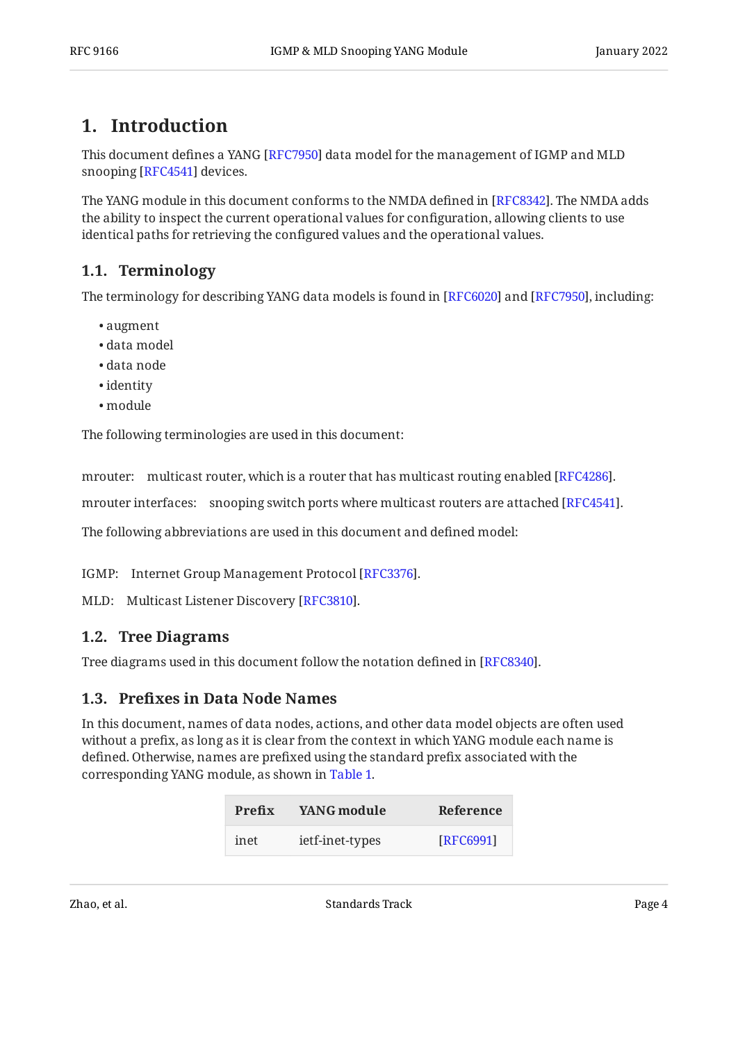### <span id="page-3-0"></span>**[1. Introduction](#page-3-0)**

This document defines a YANG [RFC7950] data model for the management of IGMP and MLD snooping [RFC4541] devices.

The YANG module in this document conforms to the NMDA defined in [RFC8342]. The NMDA adds the ability to inspect the current operational values for configuration, allowing clients to use identical paths for retrieving the configured values and the operational values.

### <span id="page-3-1"></span>**[1.1. Terminology](#page-3-1)**

The terminology for describing YANG data models is found in [RFC6020] and [RFC7950], including:

- augment •
- data model •
- data node •
- identity •
- module •

The following terminologies are used in this document:

mrouter: multicast router, which is a router that has multicast routing enabled [RFC4286].

mrouter interfaces: snooping switch ports where multicast routers are attached [RFC4541].

The following abbreviations are used in this document and defined model:

IGMP: Internet Group Management Protocol [RFC3376].

<span id="page-3-2"></span>MLD: Multicast Listener Discovery [[RFC3810\]](#page-31-4).

### **[1.2. Tree Diagrams](#page-3-2)**

<span id="page-3-3"></span>Tree diagrams used in this document follow the notation defined in [[RFC8340\]](#page-32-3).

### **[1.3. P](#page-3-3)refi[xes in Data Node Names](#page-3-3)**

<span id="page-3-4"></span>In this document, names of data nodes, actions, and other data model objects are often used without a prefix, as long as it is clear from the context in which YANG module each name is defined. Otherwise, names are prefixed using the standard prefix associated with the corresponding YANG module, as shown in [Table 1.](#page-3-4)

<span id="page-3-5"></span>

| Prefix | YANG module     | Reference |
|--------|-----------------|-----------|
| inet   | ietf-inet-types | [RFC6991] |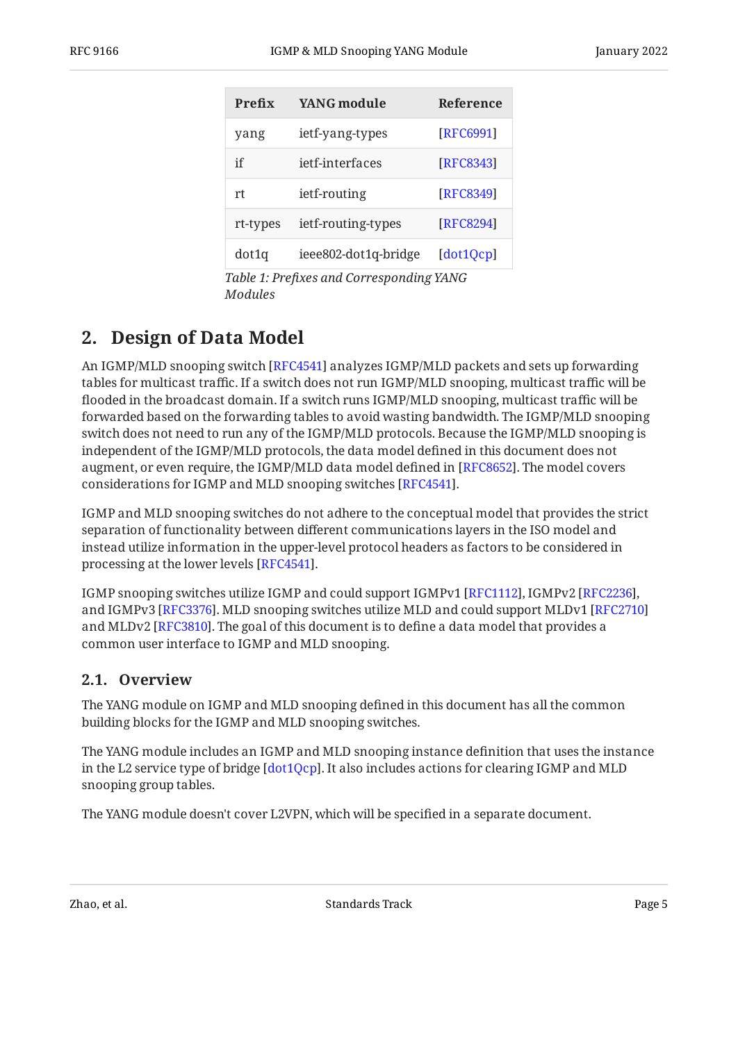| Prefix   | <b>YANG</b> module   | Reference |
|----------|----------------------|-----------|
| yang     | ietf-yang-types      | [RFC6991] |
| if       | jetf-interfaces      | [RFC8343] |
| rt       | ietf-routing         | [RFC8349] |
| rt-types | ietf-routing-types   | [RFC8294] |
| dot1q    | ieee802-dot1q-bridge | [dot1Qcp] |

*[Table 1](#page-3-5): Prefi[xes and Corresponding YANG](#page-3-4) [Modules](#page-3-4)* 

## <span id="page-4-0"></span>**[2. Design of Data Model](#page-4-0)**

An IGMP/MLD snooping switch [RFC4541] analyzes IGMP/MLD packets and sets up forwarding tables for multicast traffic. If a switch does not run IGMP/MLD snooping, multicast traffic will be flooded in the broadcast domain. If a switch runs IGMP/MLD snooping, multicast traffic will be forwarded based on the forwarding tables to avoid wasting bandwidth. The IGMP/MLD snooping switch does not need to run any of the IGMP/MLD protocols. Because the IGMP/MLD snooping is independent of the IGMP/MLD protocols, the data model defined in this document does not augment, or even require, the IGMP/MLD data model defined in [\[RFC8652](#page-32-6)]. The model covers considerations for IGMP and MLD snooping switches [RFC4541].

IGMP and MLD snooping switches do not adhere to the conceptual model that provides the strict separation of functionality between different communications layers in the ISO model and instead utilize information in the upper-level protocol headers as factors to be considered in processing at the lower levels [RFC4541].

IGMP snooping switches utilize IGMP and could support IGMPv1 [RFC1112], IGMPv2 [RFC2236], and IGMPv3 [RFC3376]. MLD snooping switches utilize MLD and could support MLDv1 [[RFC2710\]](#page-30-9) and MLDv2 [\[RFC3810](#page-31-4)]. The goal of this document is to define a data model that provides a common user interface to IGMP and MLD snooping.

### <span id="page-4-1"></span>**[2.1. Overview](#page-4-1)**

The YANG module on IGMP and MLD snooping defined in this document has all the common building blocks for the IGMP and MLD snooping switches.

The YANG module includes an IGMP and MLD snooping instance definition that uses the instance in the L2 service type of bridge [dot1Qcp]. It also includes actions for clearing IGMP and MLD snooping group tables.

The YANG module doesn't cover L2VPN, which will be specified in a separate document.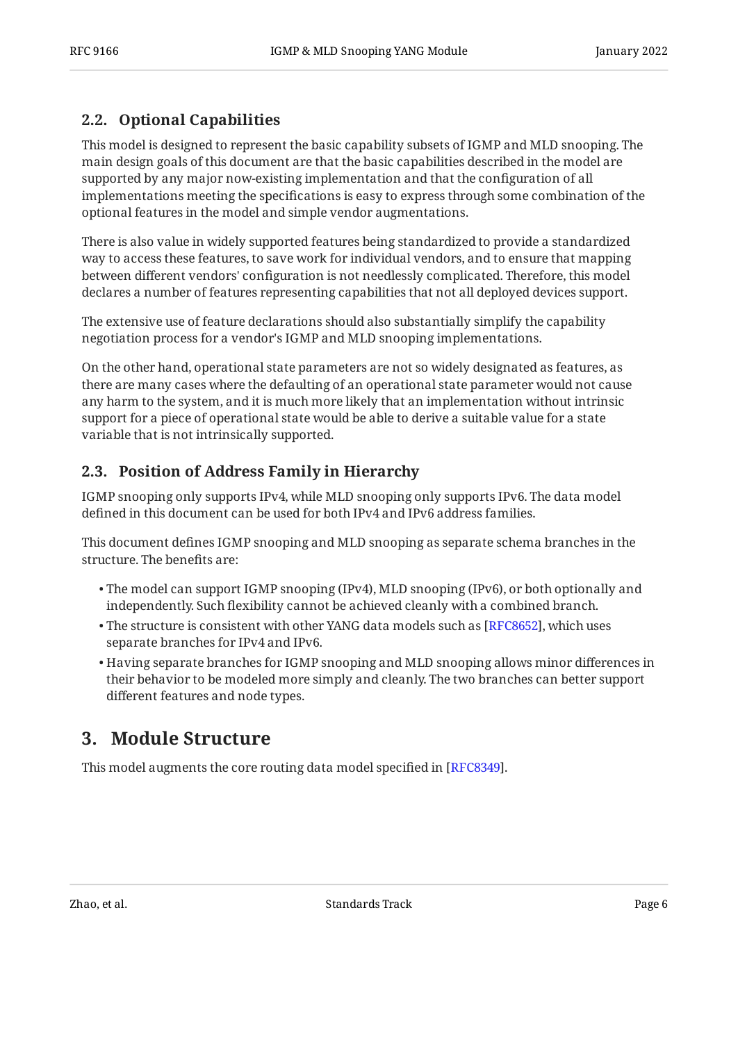### <span id="page-5-0"></span>**[2.2. Optional Capabilities](#page-5-0)**

This model is designed to represent the basic capability subsets of IGMP and MLD snooping. The main design goals of this document are that the basic capabilities described in the model are supported by any major now-existing implementation and that the configuration of all implementations meeting the specifications is easy to express through some combination of the optional features in the model and simple vendor augmentations.

There is also value in widely supported features being standardized to provide a standardized way to access these features, to save work for individual vendors, and to ensure that mapping between different vendors' configuration is not needlessly complicated. Therefore, this model declares a number of features representing capabilities that not all deployed devices support.

The extensive use of feature declarations should also substantially simplify the capability negotiation process for a vendor's IGMP and MLD snooping implementations.

On the other hand, operational state parameters are not so widely designated as features, as there are many cases where the defaulting of an operational state parameter would not cause any harm to the system, and it is much more likely that an implementation without intrinsic support for a piece of operational state would be able to derive a suitable value for a state variable that is not intrinsically supported.

### <span id="page-5-1"></span>**[2.3. Position of Address Family in Hierarchy](#page-5-1)**

IGMP snooping only supports IPv4, while MLD snooping only supports IPv6. The data model defined in this document can be used for both IPv4 and IPv6 address families.

This document defines IGMP snooping and MLD snooping as separate schema branches in the structure. The benefits are:

- The model can support IGMP snooping (IPv4), MLD snooping (IPv6), or both optionally and independently. Such flexibility cannot be achieved cleanly with a combined branch.
- $\bullet$  The structure is consistent with other YANG data models such as [\[RFC8652\]](#page-32-6), which uses separate branches for IPv4 and IPv6.
- $\bullet$  Having separate branches for IGMP snooping and MLD snooping allows minor differences in their behavior to be modeled more simply and cleanly. The two branches can better support different features and node types.

## <span id="page-5-2"></span>**[3. Module Structure](#page-5-2)**

This model augments the core routing data model specified in [[RFC8349\]](#page-32-5).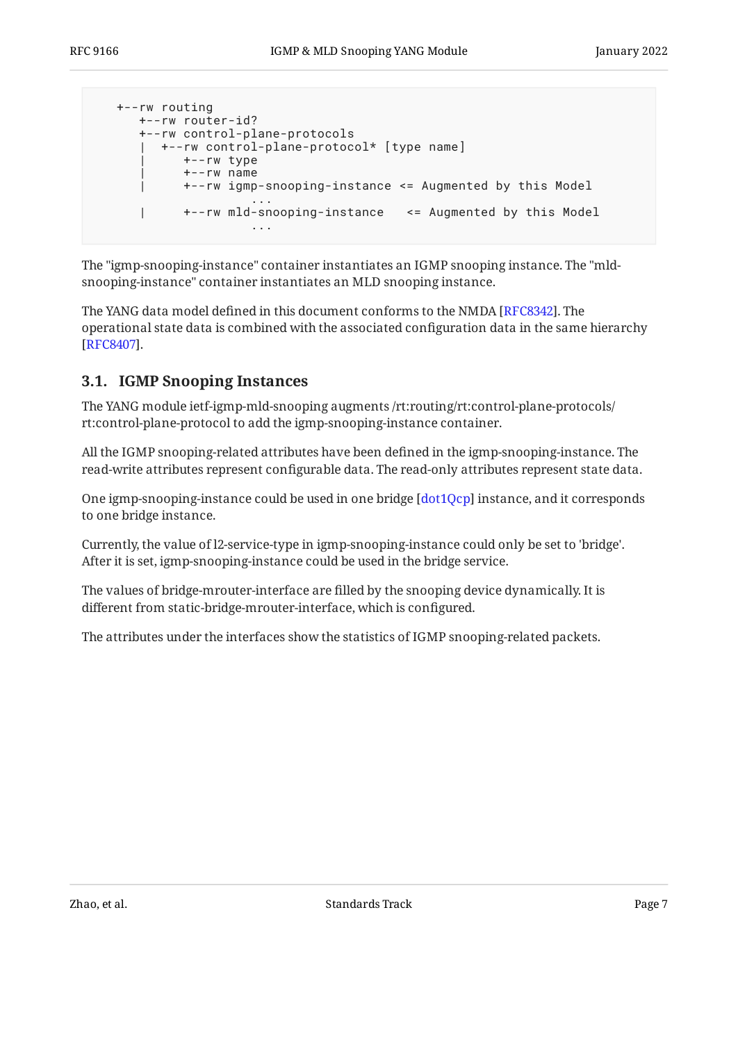```
 +--rw routing
     +--rw router-id?
      +--rw control-plane-protocols
       | +--rw control-plane-protocol* [type name]
           | +--rw type
           | +--rw name
      | +--rw igmp-snooping-instance <= Augmented by this Model
 ...
      | +--rw mld-snooping-instance <= Augmented by this Model
 ...
```
The "igmp-snooping-instance" container instantiates an IGMP snooping instance. The "mldsnooping-instance" container instantiates an MLD snooping instance.

The YANG data model defined in this document conforms to the NMDA [RFC8342]. The operational state data is combined with the associated configuration data in the same hierarchy . [[RFC8407\]](#page-32-7)

### <span id="page-6-0"></span>**[3.1. IGMP Snooping Instances](#page-6-0)**

The YANG module ietf-igmp-mld-snooping augments /rt:routing/rt:control-plane-protocols/ rt:control-plane-protocol to add the igmp-snooping-instance container.

All the IGMP snooping-related attributes have been defined in the igmp-snooping-instance. The read-write attributes represent configurable data. The read-only attributes represent state data.

One igmp-snooping-instance could be used in one bridge  $[dot1Qcp]$  instance, and it corresponds to one bridge instance.

Currently, the value of l2-service-type in igmp-snooping-instance could only be set to 'bridge'. After it is set, igmp-snooping-instance could be used in the bridge service.

The values of bridge-mrouter-interface are filled by the snooping device dynamically. It is different from static-bridge-mrouter-interface, which is configured.

The attributes under the interfaces show the statistics of IGMP snooping-related packets.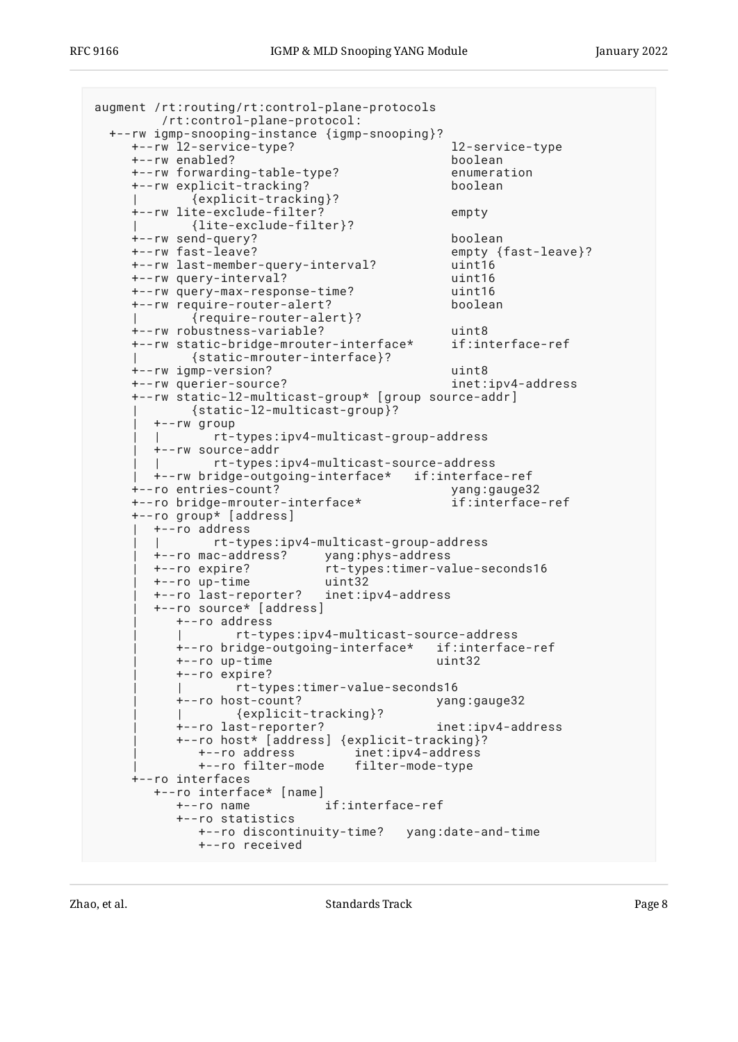```
augment /rt:routing/rt:control-plane-protocols
        /rt:control-plane-protocol:
  +--rw igmp-snooping-instance {igmp-snooping}?
     +--rw l2-service-type? l2-service-type
     +--rw enabled? boolean
     +--rw forwarding-table-type? enumeration
     +--rw explicit-tracking? boolean
            | {explicit-tracking}?
     +--rw lite-exclude-filter? empty
     | {lite-exclude-filter}?
     +--rw send-query? boolean
                                          empty {fast-leave}?
     +--rw last-member-query-interval? uint16
     +--rw query-interval? uint16
     +--rw query-max-response-time? uint16
     +--rw require-router-alert? boolean
            | {require-router-alert}?
     +--rw robustness-variable? uint8
     +--rw static-bridge-mrouter-interface* if:interface-ref
            | {static-mrouter-interface}?
     +--rw igmp-version? uint8
     +--rw querier-source? inet:ipv4-address
     +--rw static-l2-multicast-group* [group source-addr]
           | {static-l2-multicast-group}?
        | +--rw group
        | | rt-types:ipv4-multicast-group-address
        | +--rw source-addr
               | | rt-types:ipv4-multicast-source-address
       | +--rw bridge-outgoing-interface* if:interface-ref
     +--ro entries-count? yang:gauge32
     +--ro bridge-mrouter-interface* if:interface-ref
     +--ro group* [address]
       | +--ro address
              | | rt-types:ipv4-multicast-group-address
        | +--ro mac-address? yang:phys-address
       | +--ro expire? rt-types:timer-value-seconds16
       | +--ro up-time uint32
        | +--ro last-reporter? inet:ipv4-address
        | +--ro source* [address]
          | +--ro address
                 | | rt-types:ipv4-multicast-source-address
          | +--ro bridge-outgoing-interface* if:interface-ref
          | +--ro up-time uint32
          | +--ro expire?
          | | rt-types:timer-value-seconds16
          | +--ro host-count? yang:gauge32
          | | {explicit-tracking}?
          | +--ro last-reporter? inet:ipv4-address
          | +--ro host* [address] {explicit-tracking}?
             | +--ro address inet:ipv4-address
             | +--ro filter-mode filter-mode-type
     +--ro interfaces
        +--ro interface* [name]
          +--ro name if:interface-ref
          +--ro statistics
             +--ro discontinuity-time? yang:date-and-time
             +--ro received
```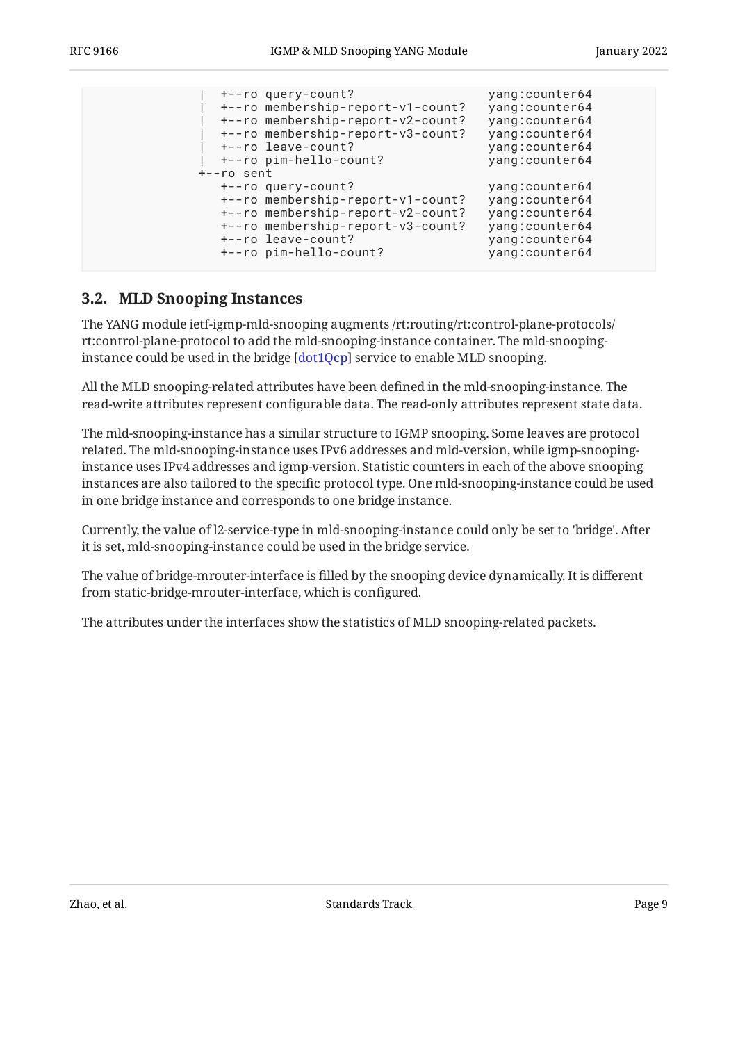| $+--ro$ sent | +--ro query-count?<br>+--ro membership-report-v1-count?<br>+--ro membership-report-v2-count?<br>+--ro membership-report-v3-count?<br>+--ro leave-count?<br>+--ro pim-hello-count? | yang: counter64<br>yang: counter64<br>yang: counter64<br>yang: counter64<br>yang: counter64<br>yang: counter64 |
|--------------|-----------------------------------------------------------------------------------------------------------------------------------------------------------------------------------|----------------------------------------------------------------------------------------------------------------|
|              | +--ro query-count?<br>+--ro membership-report-v1-count?<br>+--ro membership-report-v2-count?<br>+--ro membership-report-v3-count?<br>+--ro leave-count?<br>+--ro pim-hello-count? | yang: counter64<br>yang: counter64<br>yang: counter64<br>yang: counter64<br>yang: counter64<br>yang: counter64 |

### <span id="page-8-0"></span>**[3.2. MLD Snooping Instances](#page-8-0)**

The YANG module ietf-igmp-mld-snooping augments /rt:routing/rt:control-plane-protocols/ rt:control-plane-protocol to add the mld-snooping-instance container. The mld-snoopinginstance could be used in the bridge [ $\text{dot1Qcp}$ ] service to enable MLD snooping.

All the MLD snooping-related attributes have been defined in the mld-snooping-instance. The read-write attributes represent configurable data. The read-only attributes represent state data.

The mld-snooping-instance has a similar structure to IGMP snooping. Some leaves are protocol related. The mld-snooping-instance uses IPv6 addresses and mld-version, while igmp-snoopinginstance uses IPv4 addresses and igmp-version. Statistic counters in each of the above snooping instances are also tailored to the specific protocol type. One mld-snooping-instance could be used in one bridge instance and corresponds to one bridge instance.

Currently, the value of l2-service-type in mld-snooping-instance could only be set to 'bridge'. After it is set, mld-snooping-instance could be used in the bridge service.

The value of bridge-mrouter-interface is filled by the snooping device dynamically. It is different from static-bridge-mrouter-interface, which is configured.

The attributes under the interfaces show the statistics of MLD snooping-related packets.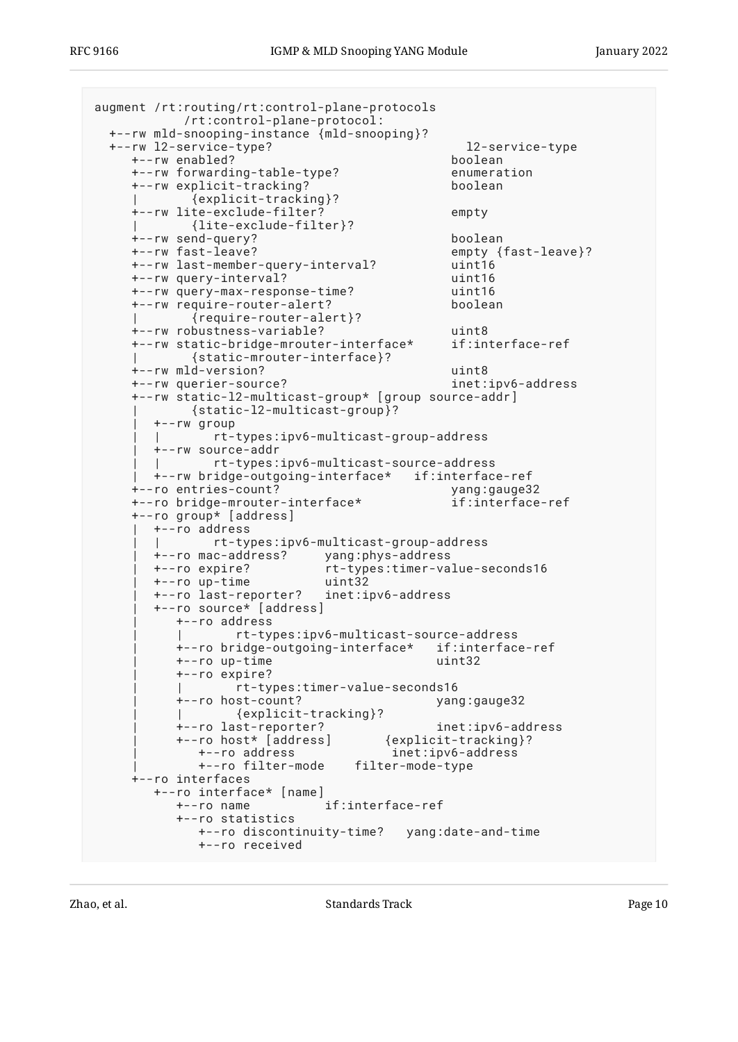```
augment /rt:routing/rt:control-plane-protocols
           /rt:control-plane-protocol:
  +--rw mld-snooping-instance {mld-snooping}?
  +--rw l2-service-type? l2-service-type
     +--rw enabled? boolean
     +--rw forwarding-table-type? enumeration
     +--rw explicit-tracking? boolean
            | {explicit-tracking}?
     +--rw lite-exclude-filter? empty
     | {lite-exclude-filter}?
     +--rw send-query? boolean
                                         empty {fast-leave}?
     +--rw last-member-query-interval? uint16
     +--rw query-interval? uint16
     +--rw query-max-response-time? uint16
     +--rw require-router-alert? boolean
            | {require-router-alert}?
     +--rw robustness-variable? uint8
     +--rw static-bridge-mrouter-interface* if:interface-ref
            | {static-mrouter-interface}?
     +--rw mld-version? uint8
     +--rw querier-source? inet:ipv6-address
     +--rw static-l2-multicast-group* [group source-addr]
           | {static-l2-multicast-group}?
       | +--rw group
       | | rt-types:ipv6-multicast-group-address
       | +--rw source-addr
              | | rt-types:ipv6-multicast-source-address
       | +--rw bridge-outgoing-interface* if:interface-ref
     +--ro entries-count? yang:gauge32
     +--ro bridge-mrouter-interface* if:interface-ref
     +--ro group* [address]
       | +--ro address
              | | rt-types:ipv6-multicast-group-address
       | +--ro mac-address? yang:phys-address
       | +--ro expire? rt-types:timer-value-seconds16
       | +--ro up-time uint32
       | +--ro last-reporter? inet:ipv6-address
       | +--ro source* [address]
          | +--ro address
                 | | rt-types:ipv6-multicast-source-address
          | +--ro bridge-outgoing-interface* if:interface-ref
          | +--ro up-time uint32
          | +--ro expire?
          | | rt-types:timer-value-seconds16
          | +--ro host-count? yang:gauge32
          | | {explicit-tracking}?
          | +--ro last-reporter? inet:ipv6-address
         +--ro host* [address]
            | +--ro address inet:ipv6-address
             | +--ro filter-mode filter-mode-type
     +--ro interfaces
       +--ro interface* [name]
          +--ro name if:interface-ref
          +--ro statistics
            +--ro discontinuity-time? yang:date-and-time
             +--ro received
```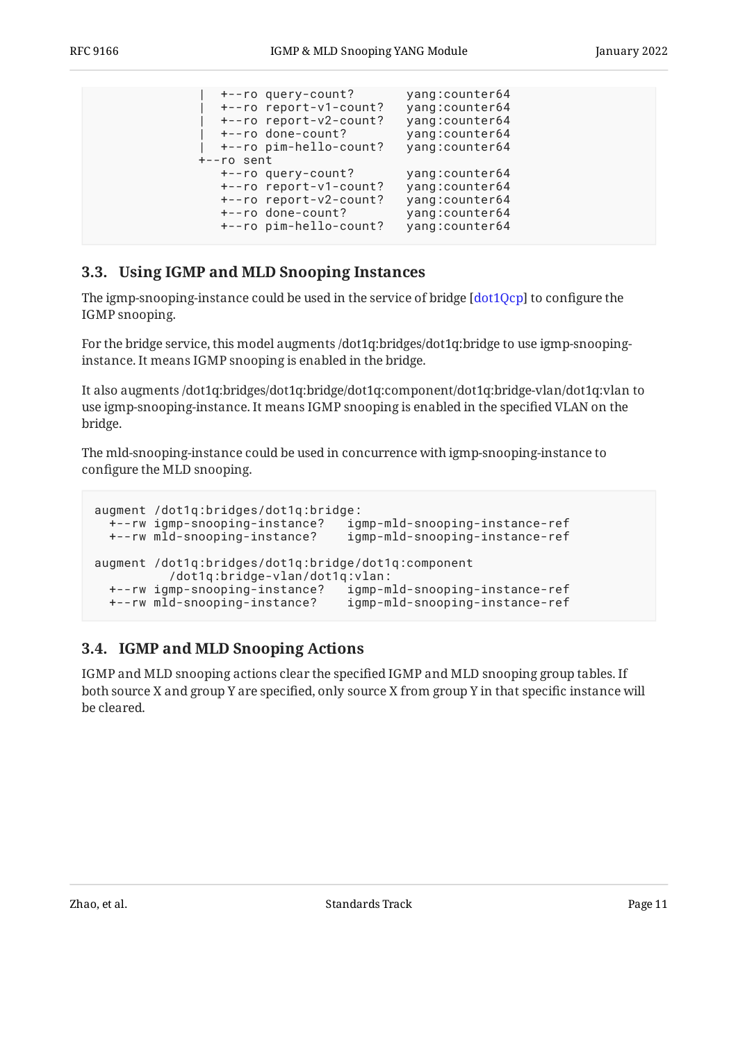| +--ro query-count?<br>+--ro report-v1-count?<br>+--ro report-v2-count?<br>+--ro done-count?<br>+--ro pim-hello-count?<br>+--ro sent | yang:counter64<br>yang: counter64<br>yang:counter64<br>yang: counter64<br>yang: counter64  |
|-------------------------------------------------------------------------------------------------------------------------------------|--------------------------------------------------------------------------------------------|
| +--ro query-count?<br>+--ro report-v1-count?<br>+--ro report-v2-count?<br>+--ro done-count?<br>+--ro pim-hello-count?               | yang:counter64<br>yang: counter64<br>yang: counter64<br>yang: counter64<br>yang: counter64 |

### <span id="page-10-0"></span>**[3.3. Using IGMP and MLD Snooping Instances](#page-10-0)**

The igmp-snooping-instance could be used in the service of bridge  $[\text{dot1Qcp}]$  to configure the IGMP snooping.

For the bridge service, this model augments /dot1q:bridges/dot1q:bridge to use igmp-snoopinginstance. It means IGMP snooping is enabled in the bridge.

It also augments /dot1q:bridges/dot1q:bridge/dot1q:component/dot1q:bridge-vlan/dot1q:vlan to use igmp-snooping-instance. It means IGMP snooping is enabled in the specified VLAN on the bridge.

The mld-snooping-instance could be used in concurrence with igmp-snooping-instance to configure the MLD snooping.

```
augment /dot1q:bridges/dot1q:bridge:
  +--rw igmp-snooping-instance? igmp-mld-snooping-instance-ref
  +--rw mld-snooping-instance? igmp-mld-snooping-instance-ref
augment /dot1q:bridges/dot1q:bridge/dot1q:component
           /dot1q:bridge-vlan/dot1q:vlan:
 +--rw igmp-snooping-instance? igmp-mld-snooping-instance-ref
 +--rw mld-snooping-instance? igmp-mld-snooping-instance-ref
```
### <span id="page-10-1"></span>**[3.4. IGMP and MLD Snooping Actions](#page-10-1)**

IGMP and MLD snooping actions clear the specified IGMP and MLD snooping group tables. If both source X and group Y are specified, only source X from group Y in that specific instance will be cleared.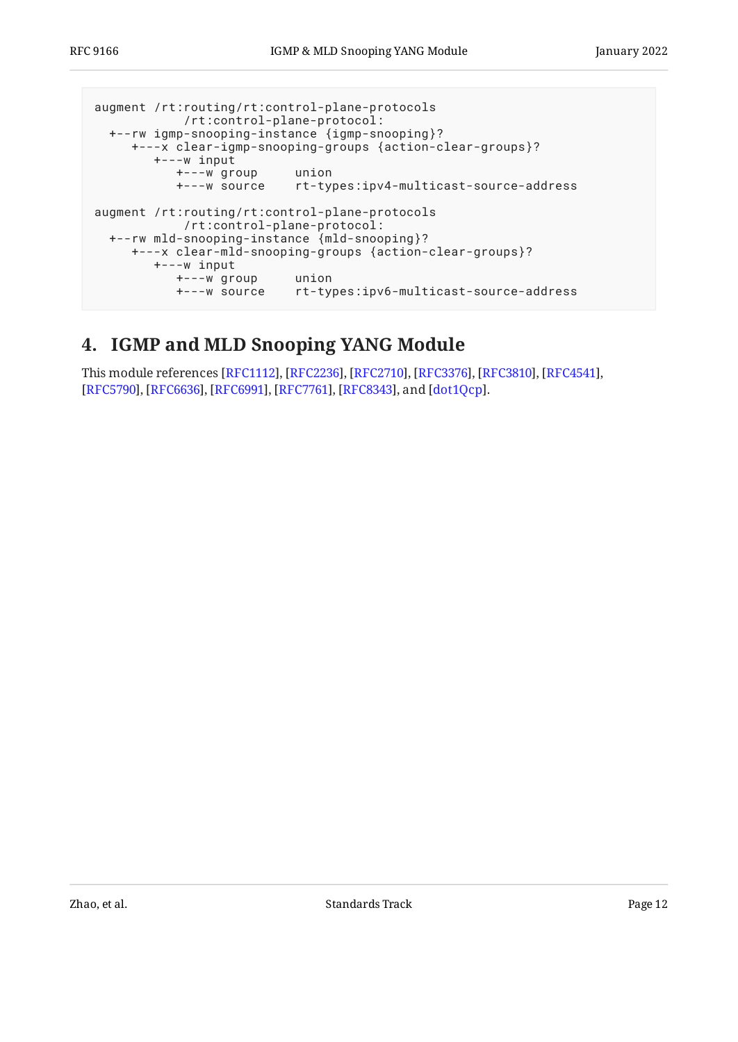```
augment /rt:routing/rt:control-plane-protocols
             /rt:control-plane-protocol:
   +--rw igmp-snooping-instance {igmp-snooping}?
      +---x clear-igmp-snooping-groups {action-clear-groups}?
         +---w input
            +---w group union
                           +---w source rt-types:ipv4-multicast-source-address
augment /rt:routing/rt:control-plane-protocols
             /rt:control-plane-protocol:
   +--rw mld-snooping-instance {mld-snooping}?
      +---x clear-mld-snooping-groups {action-clear-groups}?
        +---w input
            +---w group union
                           rt-types:ipv6-multicast-source-address
```
### <span id="page-11-0"></span>**[4. IGMP and MLD Snooping YANG Module](#page-11-0)**

This module references [RFC1112], [RFC2236], [RFC2710], [RFC3376], [RFC3810], [RFC4541], [[RFC5790\]](#page-31-7), [RFC6636], [RFC6991], [RFC7761], [RFC8343], and [dot1Qcp].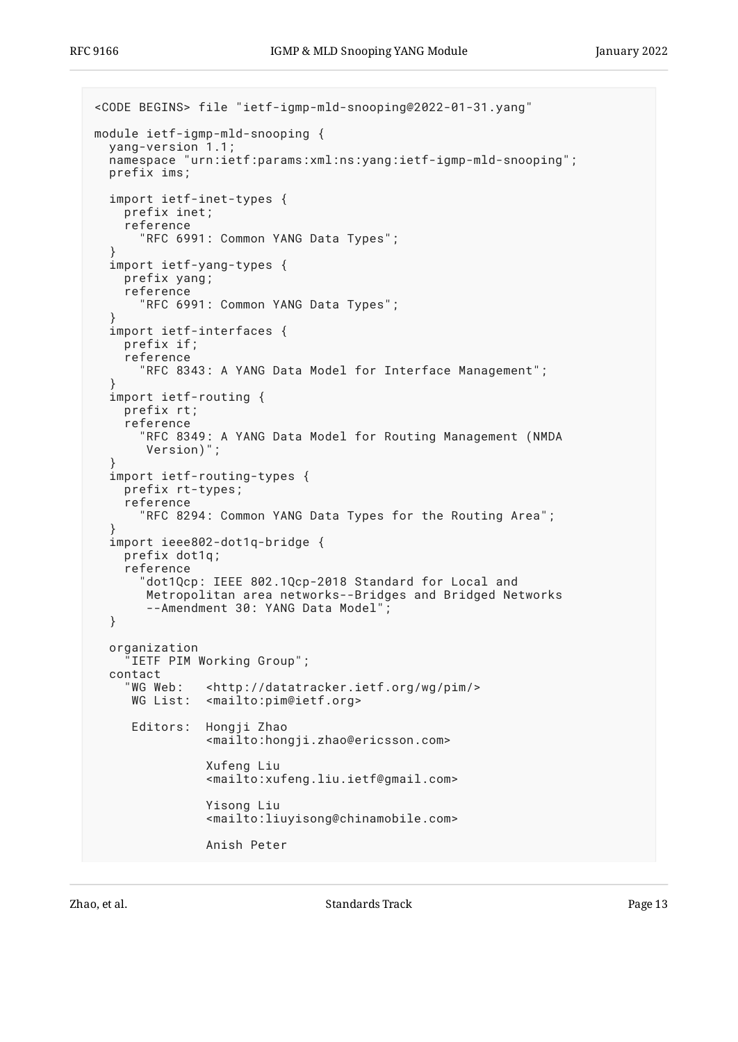```
<CODE BEGINS> file "ietf-igmp-mld-snooping@2022-01-31.yang"
module ietf-igmp-mld-snooping {
   yang-version 1.1;
   namespace "urn:ietf:params:xml:ns:yang:ietf-igmp-mld-snooping";
   prefix ims;
   import ietf-inet-types {
     prefix inet;
     reference
       "RFC 6991: Common YANG Data Types";
 }
   import ietf-yang-types {
     prefix yang;
     reference
       "RFC 6991: Common YANG Data Types";
 }
   import ietf-interfaces {
     prefix if;
     reference
       "RFC 8343: A YANG Data Model for Interface Management";
 }
   import ietf-routing {
     prefix rt;
     reference
       "RFC 8349: A YANG Data Model for Routing Management (NMDA
        Version)";
 }
   import ietf-routing-types {
     prefix rt-types;
     reference
       "RFC 8294: Common YANG Data Types for the Routing Area";
 }
   import ieee802-dot1q-bridge {
     prefix dot1q;
     reference
        "dot1Qcp: IEEE 802.1Qcp-2018 Standard for Local and
        Metropolitan area networks--Bridges and Bridged Networks
        --Amendment 30: YANG Data Model";
   }
   organization
      "IETF PIM Working Group";
  contact<br>"WG Web:
                <http://datatracker.ietf.org/wg/pim/>
      WG List: <mailto:pim@ietf.org>
      Editors: Hongji Zhao
                 <mailto:hongji.zhao@ericsson.com>
                 Xufeng Liu
                 <mailto:xufeng.liu.ietf@gmail.com>
                 Yisong Liu
                 <mailto:liuyisong@chinamobile.com>
                 Anish Peter
```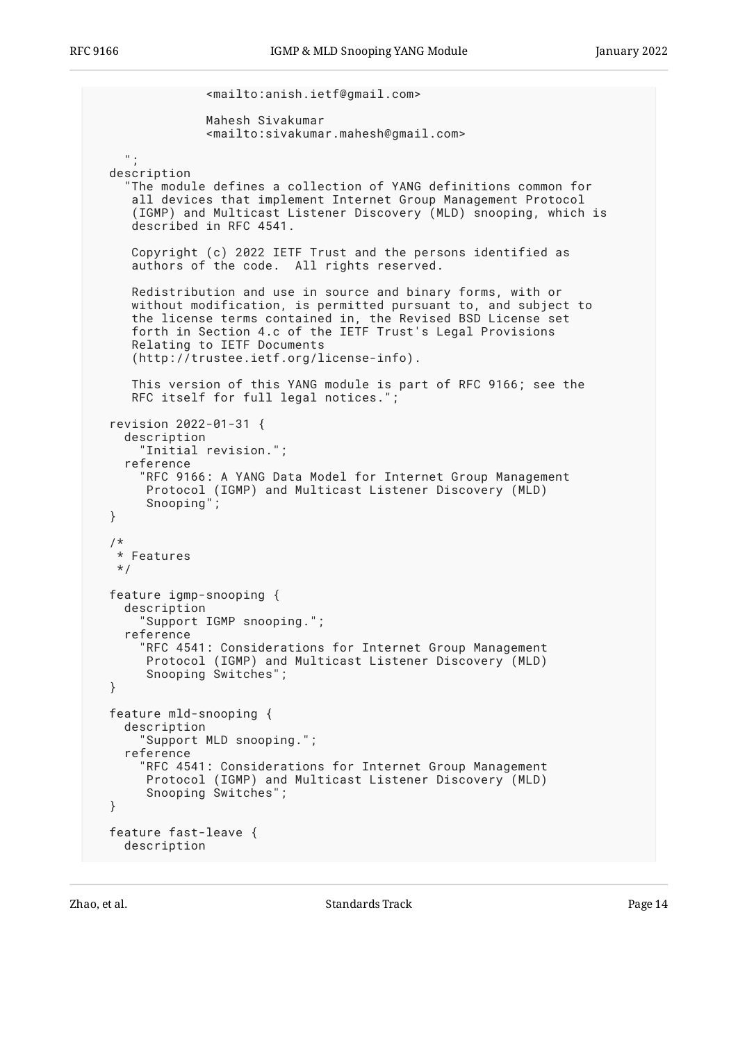```
 <mailto:anish.ietf@gmail.com>
              Mahesh Sivakumar
              <mailto:sivakumar.mahesh@gmail.com>
   ";
 description
   "The module defines a collection of YANG definitions common for
    all devices that implement Internet Group Management Protocol
    (IGMP) and Multicast Listener Discovery (MLD) snooping, which is
    described in RFC 4541.
    Copyright (c) 2022 IETF Trust and the persons identified as
    authors of the code. All rights reserved.
    Redistribution and use in source and binary forms, with or
    without modification, is permitted pursuant to, and subject to
    the license terms contained in, the Revised BSD License set
    forth in Section 4.c of the IETF Trust's Legal Provisions
    Relating to IETF Documents
    (http://trustee.ietf.org/license-info).
    This version of this YANG module is part of RFC 9166; see the
    RFC itself for full legal notices.";
 revision 2022-01-31 {
   description
     "Initial revision.";
   reference
     "RFC 9166: A YANG Data Model for Internet Group Management
      Protocol (IGMP) and Multicast Listener Discovery (MLD)
      Snooping";
 }
 /*
  * Features
  */
 feature igmp-snooping {
   description
     "Support IGMP snooping.";
   reference
     "RFC 4541: Considerations for Internet Group Management
      Protocol (IGMP) and Multicast Listener Discovery (MLD)
      Snooping Switches";
 }
 feature mld-snooping {
   description
     "Support MLD snooping.";
   reference
     "RFC 4541: Considerations for Internet Group Management
      Protocol (IGMP) and Multicast Listener Discovery (MLD)
      Snooping Switches";
 }
 feature fast-leave {
   description
```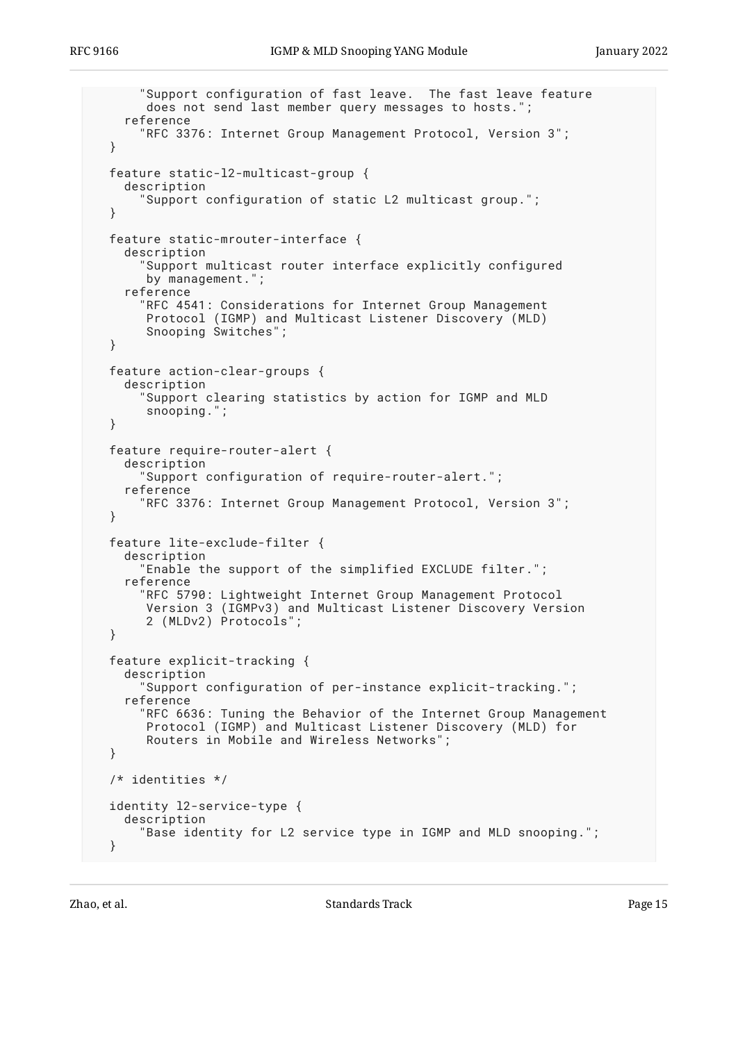```
 "Support configuration of fast leave. The fast leave feature
      does not send last member query messages to hosts.";
   reference
     "RFC 3376: Internet Group Management Protocol, Version 3";
 }
 feature static-l2-multicast-group {
   description
     "Support configuration of static L2 multicast group.";
 }
 feature static-mrouter-interface {
   description
     "Support multicast router interface explicitly configured
      by management.";
   reference
      "RFC 4541: Considerations for Internet Group Management
      Protocol (IGMP) and Multicast Listener Discovery (MLD)
      Snooping Switches";
 }
 feature action-clear-groups {
   description
     "Support clearing statistics by action for IGMP and MLD
      snooping.";
 }
 feature require-router-alert {
   description
     "Support configuration of require-router-alert.";
   reference
     "RFC 3376: Internet Group Management Protocol, Version 3";
 }
 feature lite-exclude-filter {
   description
     "Enable the support of the simplified EXCLUDE filter.";
   reference
     "RFC 5790: Lightweight Internet Group Management Protocol
      Version 3 (IGMPv3) and Multicast Listener Discovery Version
      2 (MLDv2) Protocols";
 }
 feature explicit-tracking {
   description
      "Support configuration of per-instance explicit-tracking.";
   reference
     "RFC 6636: Tuning the Behavior of the Internet Group Management
      Protocol (IGMP) and Multicast Listener Discovery (MLD) for
      Routers in Mobile and Wireless Networks";
 }
 /* identities */
 identity l2-service-type {
   description
     "Base identity for L2 service type in IGMP and MLD snooping.";
 }
```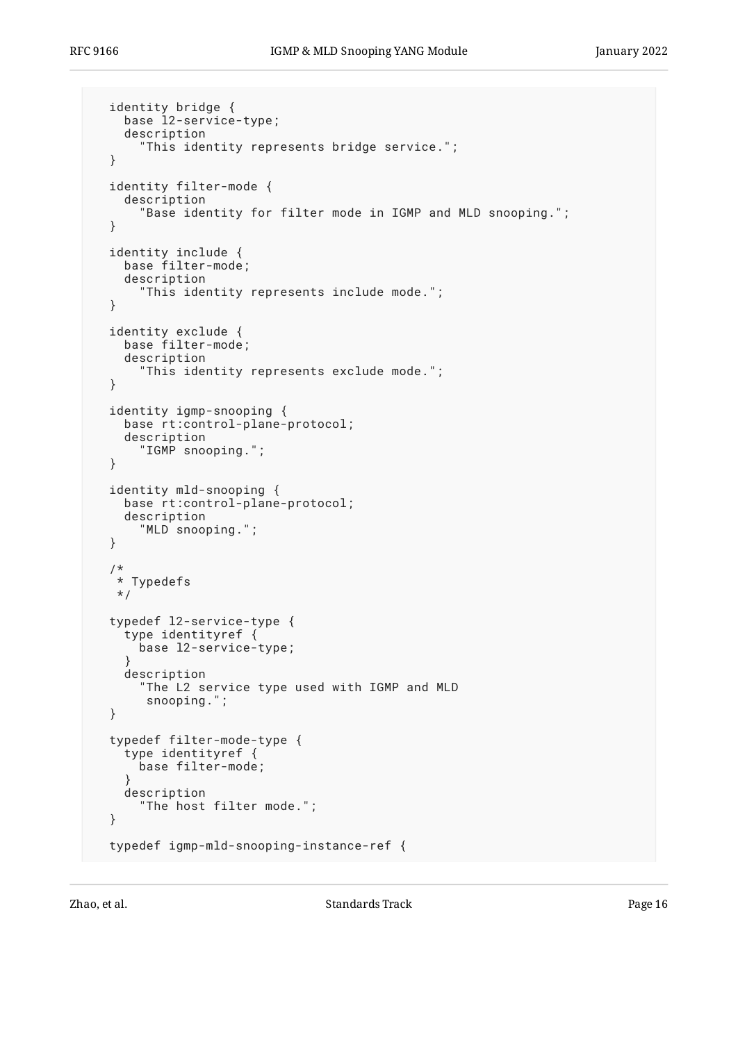```
 identity bridge {
   base l2-service-type;
   description
     "This identity represents bridge service.";
 }
 identity filter-mode {
   description
     "Base identity for filter mode in IGMP and MLD snooping.";
 }
 identity include {
   base filter-mode;
   description
     "This identity represents include mode.";
 }
 identity exclude {
   base filter-mode;
   description
     "This identity represents exclude mode.";
 }
 identity igmp-snooping {
   base rt:control-plane-protocol;
   description
     "IGMP snooping.";
 }
 identity mld-snooping {
   base rt:control-plane-protocol;
   description
     "MLD snooping.";
 }
 /*
 * Typedefs
  */
 typedef l2-service-type {
   type identityref {
     base l2-service-type;
   }
   description
     "The L2 service type used with IGMP and MLD
      snooping.";
 }
 typedef filter-mode-type {
   type identityref {
     base filter-mode;
   }
   description
     "The host filter mode.";
 }
 typedef igmp-mld-snooping-instance-ref {
```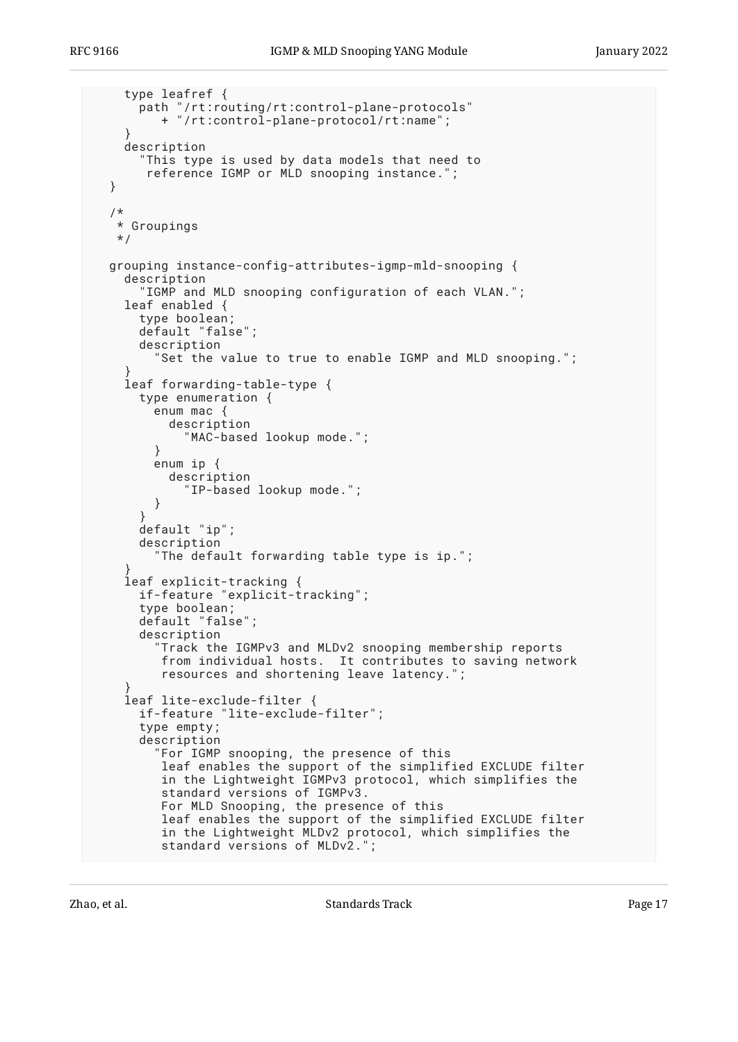```
 type leafref {
      path "/rt:routing/rt:control-plane-protocols"
          + "/rt:control-plane-protocol/rt:name";
 }
     description
       "This type is used by data models that need to
        reference IGMP or MLD snooping instance.";
  }
   /*
   * Groupings
   */
  grouping instance-config-attributes-igmp-mld-snooping {
    description
       "IGMP and MLD snooping configuration of each VLAN.";
     leaf enabled {
      type boolean;
       default "false";
      description
         "Set the value to true to enable IGMP and MLD snooping.";
 }
     leaf forwarding-table-type {
       type enumeration {
         enum mac {
           description
             "MAC-based lookup mode.";
 }
         enum ip {
           description
             "IP-based lookup mode.";
         }
       }
      default "ip";
      description
         "The default forwarding table type is ip.";
 }
     leaf explicit-tracking {
      if-feature "explicit-tracking";
      type boolean;
      default "false";
       description
          "Track the IGMPv3 and MLDv2 snooping membership reports
          from individual hosts. It contributes to saving network
          resources and shortening leave latency.";
 }
     leaf lite-exclude-filter {
      if-feature "lite-exclude-filter";
       type empty;
      description
         "For IGMP snooping, the presence of this
          leaf enables the support of the simplified EXCLUDE filter
          in the Lightweight IGMPv3 protocol, which simplifies the
          standard versions of IGMPv3.
          For MLD Snooping, the presence of this
          leaf enables the support of the simplified EXCLUDE filter
          in the Lightweight MLDv2 protocol, which simplifies the
          standard versions of MLDv2.";
```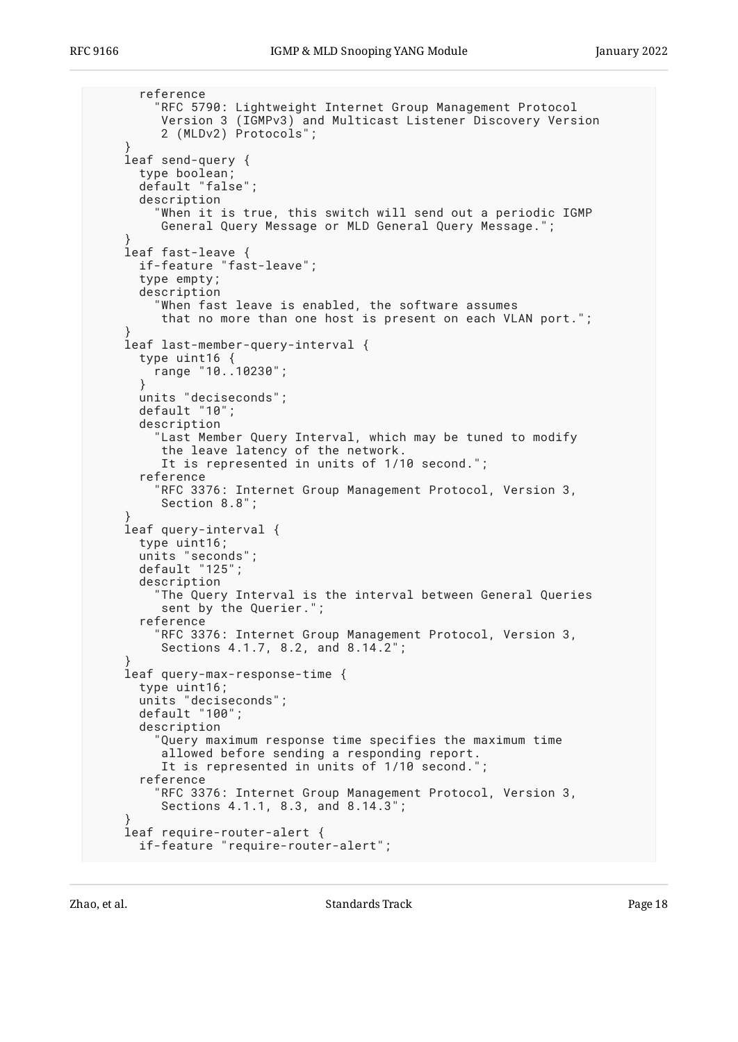```
 reference
         "RFC 5790: Lightweight Internet Group Management Protocol
          Version 3 (IGMPv3) and Multicast Listener Discovery Version
          2 (MLDv2) Protocols";
 }
    leaf send-query {
      type boolean;
      default "false";
      description
         "When it is true, this switch will send out a periodic IGMP
          General Query Message or MLD General Query Message.";
 }
    leaf fast-leave {
      if-feature "fast-leave";
       type empty;
       description
         "When fast leave is enabled, the software assumes
         that no more than one host is present on each VLAN port.";
 }
    leaf last-member-query-interval {
      type uint16 {
       range "10..10230";
       }
      units "deciseconds";
      default "10";
      description
 "Last Member Query Interval, which may be tuned to modify
 the leave latency of the network.
         It is represented in units of 1/10 second.";
       reference
         "RFC 3376: Internet Group Management Protocol, Version 3,
         Section 8.8";
 }
    leaf query-interval {
      type uint16;
      units "seconds";
       default "125";
      description
         "The Query Interval is the interval between General Queries
          sent by the Querier.";
       reference
         "RFC 3376: Internet Group Management Protocol, Version 3,
          Sections 4.1.7, 8.2, and 8.14.2";
 }
    leaf query-max-response-time {
      type uint16;
       units "deciseconds";
      default "100";
      description
         "Query maximum response time specifies the maximum time
          allowed before sending a responding report.
          It is represented in units of 1/10 second.";
       reference
         "RFC 3376: Internet Group Management Protocol, Version 3,
          Sections 4.1.1, 8.3, and 8.14.3";
 }
    leaf require-router-alert {
      if-feature "require-router-alert";
```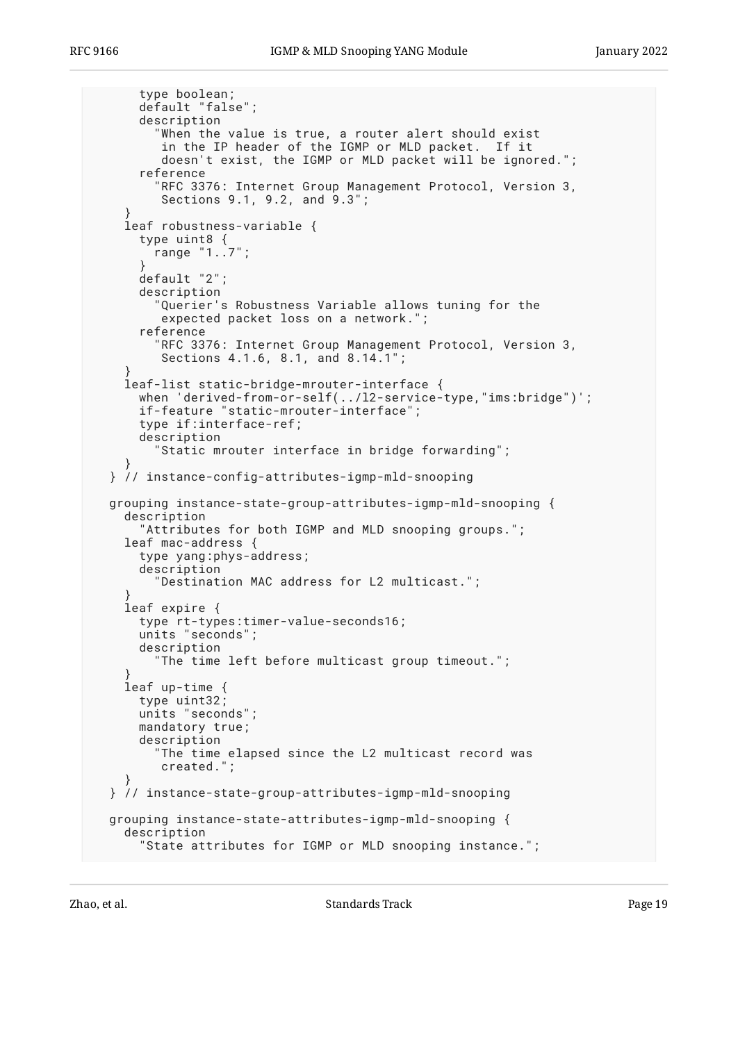```
 type boolean;
       default "false";
       description
         "When the value is true, a router alert should exist
          in the IP header of the IGMP or MLD packet. If it
          doesn't exist, the IGMP or MLD packet will be ignored.";
       reference
         "RFC 3376: Internet Group Management Protocol, Version 3,
         Sections 9.1, 9.2, and 9.3";
 }
    leaf robustness-variable {
       type uint8 {
         range "1..7";
 }
      default "2";
      description
         "Querier's Robustness Variable allows tuning for the
         expected packet loss on a network.";
       reference
         "RFC 3376: Internet Group Management Protocol, Version 3,
          Sections 4.1.6, 8.1, and 8.14.1";
 }
    leaf-list static-bridge-mrouter-interface {
     when 'derived-from-or-self(../12-service-type,"ims:bridge")';
     if-feature "static-mrouter-interface";
       type if:interface-ref;
       description
         "Static mrouter interface in bridge forwarding";
 }
  } // instance-config-attributes-igmp-mld-snooping
  grouping instance-state-group-attributes-igmp-mld-snooping {
    description
       "Attributes for both IGMP and MLD snooping groups.";
    leaf mac-address {
      type yang:phys-address;
       description
         "Destination MAC address for L2 multicast.";
 }
    leaf expire {
      type rt-types:timer-value-seconds16;
      units "seconds";
      description
         "The time left before multicast group timeout.";
 }
    leaf up-time {
       type uint32;
      units "seconds";
      mandatory true;
      description
         "The time elapsed since the L2 multicast record was
          created.";
 }
  } // instance-state-group-attributes-igmp-mld-snooping
  grouping instance-state-attributes-igmp-mld-snooping {
    description
       "State attributes for IGMP or MLD snooping instance.";
```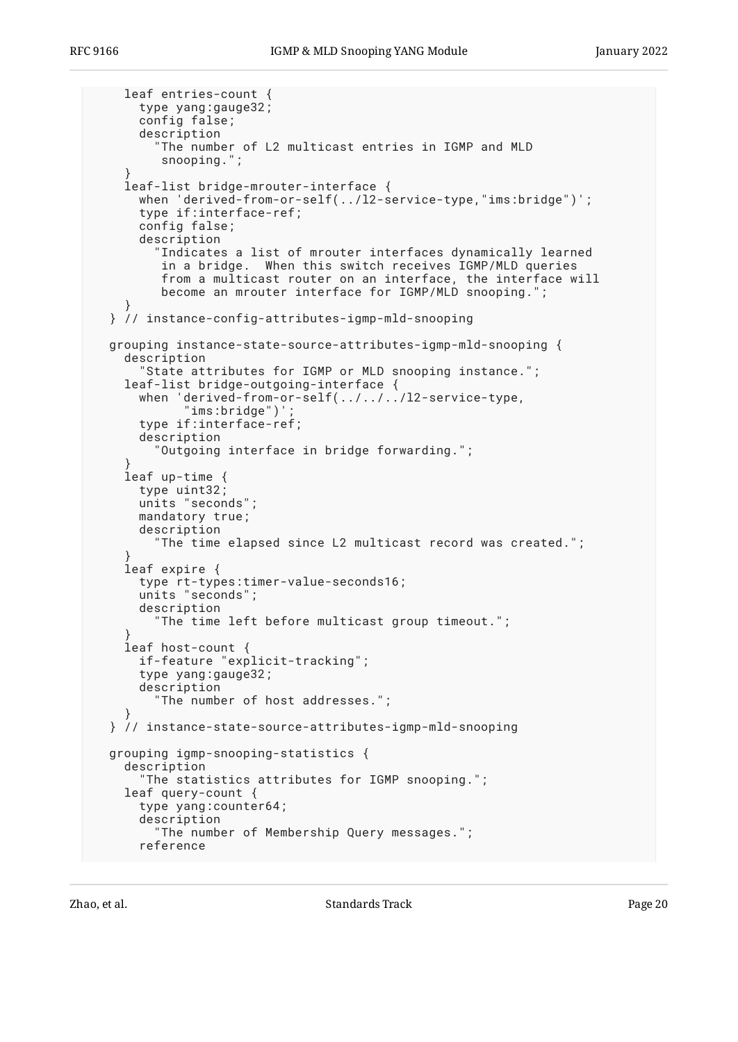```
 leaf entries-count {
       type yang:gauge32;
       config false;
       description
         The number of L2 multicast entries in IGMP and MLD
          snooping.";
 }
    leaf-list bridge-mrouter-interface {
      when 'derived-from-or-self(../l2-service-type,"ims:bridge")';
       type if:interface-ref;
      config false;
       description
         "Indicates a list of mrouter interfaces dynamically learned
          in a bridge. When this switch receives IGMP/MLD queries
          from a multicast router on an interface, the interface will
          become an mrouter interface for IGMP/MLD snooping.";
 }
  } // instance-config-attributes-igmp-mld-snooping
  grouping instance-state-source-attributes-igmp-mld-snooping {
    description
       "State attributes for IGMP or MLD snooping instance.";
    leaf-list bridge-outgoing-interface {
      when 'derived-from-or-self(../../../l2-service-type,
            "ims:bridge")'
      type if:interface-ref;
       description
         "Outgoing interface in bridge forwarding.";
 }
    leaf up-time {
       type uint32;
      units "seconds";
      mandatory true;
      description
         "The time elapsed since L2 multicast record was created.";
 }
    leaf expire {
      type rt-types:timer-value-seconds16;
      units "seconds";
      description
         "The time left before multicast group timeout.";
 }
    leaf host-count {
      if-feature "explicit-tracking";
       type yang:gauge32;
      description
         "The number of host addresses.";
 }
  } // instance-state-source-attributes-igmp-mld-snooping
  grouping igmp-snooping-statistics {
    description
       "The statistics attributes for IGMP snooping.";
    leaf query-count {
       type yang:counter64;
       description
         "The number of Membership Query messages.";
       reference
```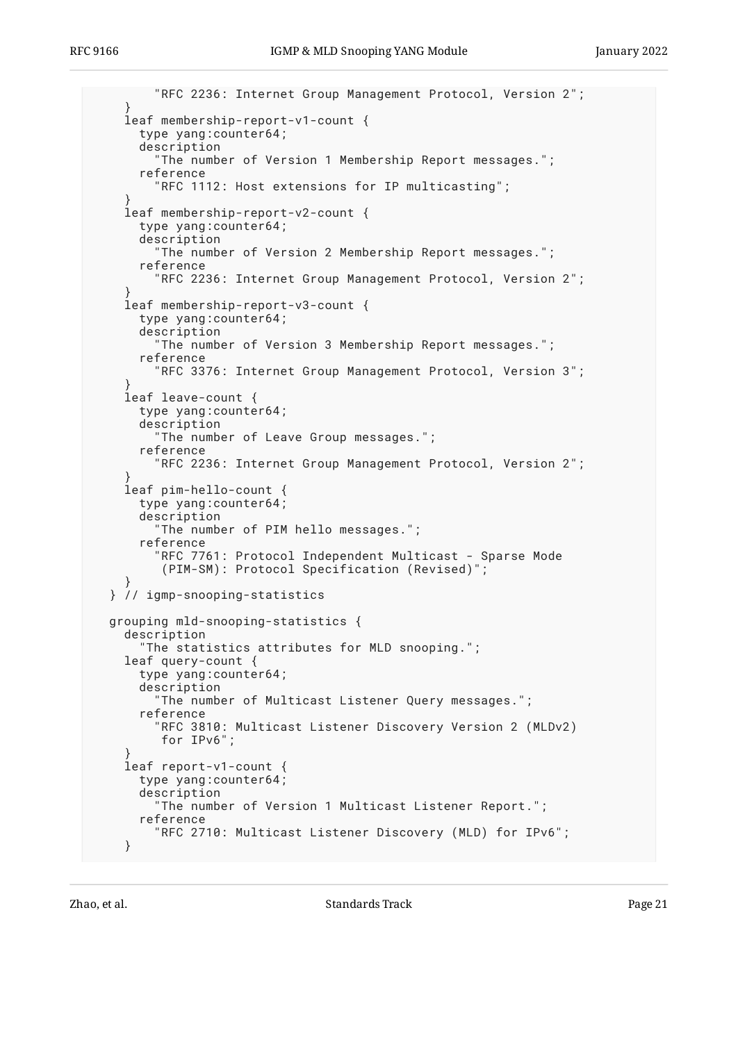```
 "RFC 2236: Internet Group Management Protocol, Version 2";
 }
     leaf membership-report-v1-count {
      type yang:counter64;
       description
         "The number of Version 1 Membership Report messages.";
       reference
         "RFC 1112: Host extensions for IP multicasting";
 }
     leaf membership-report-v2-count {
      type yang:counter64;
       description
         "The number of Version 2 Membership Report messages.";
       reference
         "RFC 2236: Internet Group Management Protocol, Version 2";
 }
     leaf membership-report-v3-count {
       type yang:counter64;
       description
         "The number of Version 3 Membership Report messages.";
       reference
         "RFC 3376: Internet Group Management Protocol, Version 3";
 }
     leaf leave-count {
      type yang:counter64;
       description
         "The number of Leave Group messages.";
       reference
         "RFC 2236: Internet Group Management Protocol, Version 2";
 }
     leaf pim-hello-count {
       type yang:counter64;
       description
         "The number of PIM hello messages.";
       reference
         'RFC 7761: Protocol Independent Multicast - Sparse Mode
          (PIM-SM): Protocol Specification (Revised)";
 }
  } // igmp-snooping-statistics
  grouping mld-snooping-statistics {
     description
       "The statistics attributes for MLD snooping.";
    leaf query-count {
       type yang:counter64;
       description
         "The number of Multicast Listener Query messages.";
       reference
         "RFC 3810: Multicast Listener Discovery Version 2 (MLDv2)
          for IPv6";
 }
     leaf report-v1-count {
      type yang:counter64;
      description
         "The number of Version 1 Multicast Listener Report.";
       reference
         "RFC 2710: Multicast Listener Discovery (MLD) for IPv6";
     }
```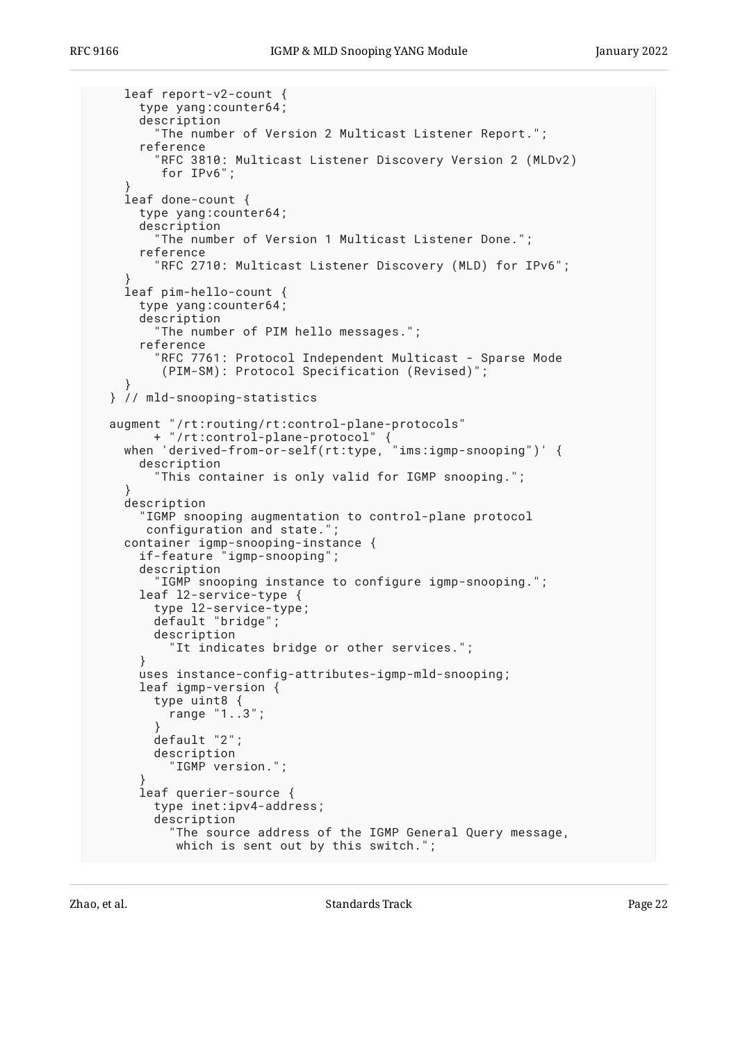```
 leaf report-v2-count {
       type yang:counter64;
       description
         "The number of Version 2 Multicast Listener Report.";
       reference
         "RFC 3810: Multicast Listener Discovery Version 2 (MLDv2)
          for IPv6";
 }
    leaf done-count {
      type yang:counter64;
       description
         "The number of Version 1 Multicast Listener Done.";
       reference
         "RFC 2710: Multicast Listener Discovery (MLD) for IPv6";
 }
    leaf pim-hello-count {
      type yang:counter64;
       description
         "The number of PIM hello messages.";
       reference
         "RFC 7761: Protocol Independent Multicast - Sparse Mode
          (PIM-SM): Protocol Specification (Revised)";
 }
  } // mld-snooping-statistics
 augment "/rt:routing/rt:control-plane-protocols"
 + "/rt:control-plane-protocol" {
 when 'derived-from-or-self(rt:type, "ims:igmp-snooping")' {
       description
         "This container is only valid for IGMP snooping.";
 }
    description
       "IGMP snooping augmentation to control-plane protocol
       configuration and state.";
 container igmp-snooping-instance {
 if-feature "igmp-snooping";
       description
         "IGMP snooping instance to configure igmp-snooping.";
       leaf l2-service-type {
        type l2-service-type;
         default "bridge";
         description
           "It indicates bridge or other services.";
       }
      uses instance-config-attributes-igmp-mld-snooping;
       leaf igmp-version {
         type uint8 {
        \frac{1}{2} range "1..3";
 }
        default "2";
         description
           "IGMP version.";
 }
       leaf querier-source {
         type inet:ipv4-address;
         description
           "The source address of the IGMP General Query message,
            which is sent out by this switch.";
```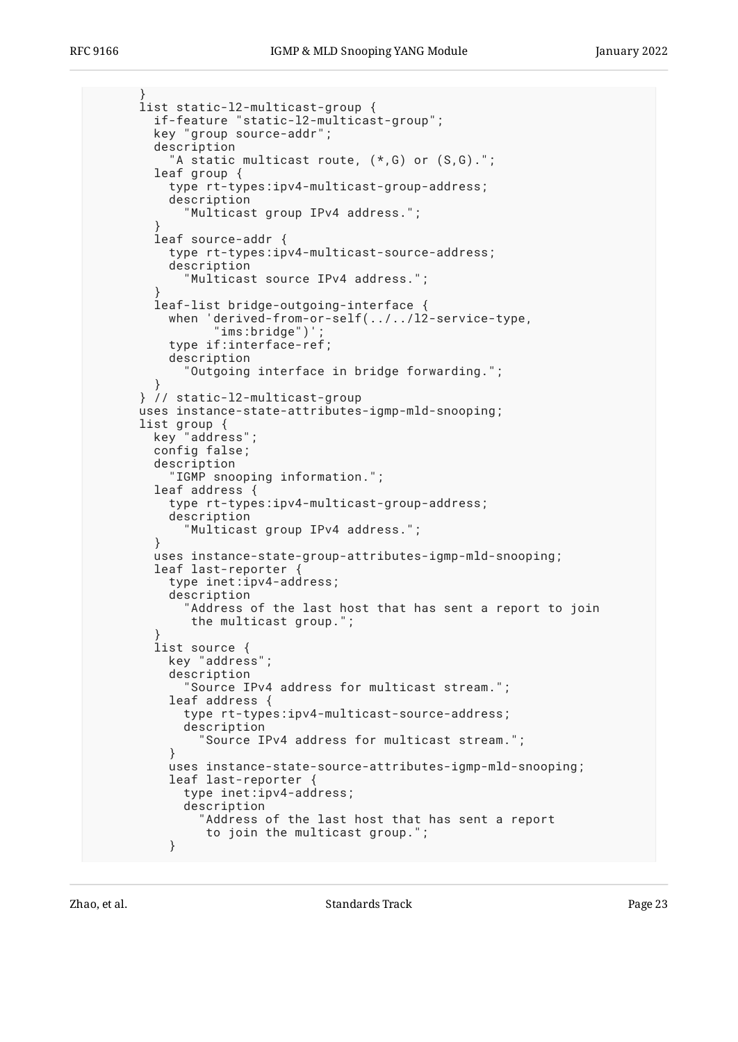```
 }
      list static-l2-multicast-group {
        if-feature "static-l2-multicast-group";
        key "group source-addr";
        description
           "A static multicast route, (*,G) or (S,G).";
        leaf group {
          type rt-types:ipv4-multicast-group-address;
          description
            "Multicast group IPv4 address.";
 }
        leaf source-addr {
          type rt-types:ipv4-multicast-source-address;
          description
             "Multicast source IPv4 address.";
 }
        leaf-list bridge-outgoing-interface {
 when 'derived-from-or-self(../../l2-service-type,
 "ims:bridge")';
          type if:interface-ref;
          description
            "Outgoing interface in bridge forwarding.";
 }
      } // static-l2-multicast-group
      uses instance-state-attributes-igmp-mld-snooping;
 list group {
 key "address";
        config false;
        description
          "IGMP snooping information.";
        leaf address {
          type rt-types:ipv4-multicast-group-address;
          description
            "Multicast group IPv4 address.";
 }
 uses instance-state-group-attributes-igmp-mld-snooping;
 leaf last-reporter {
          type inet:ipv4-address;
          description
            "Address of the last host that has sent a report to join
             the multicast group.";
 }
        list source {
          key "address";
          description
             "Source IPv4 address for multicast stream.";
          leaf address {
            type rt-types:ipv4-multicast-source-address;
            description
              "Source IPv4 address for multicast stream.";
 }
          uses instance-state-source-attributes-igmp-mld-snooping;
          leaf last-reporter {
            type inet:ipv4-address;
            description
              'Address of the last host that has sent a report
               to join the multicast group.";
 }
```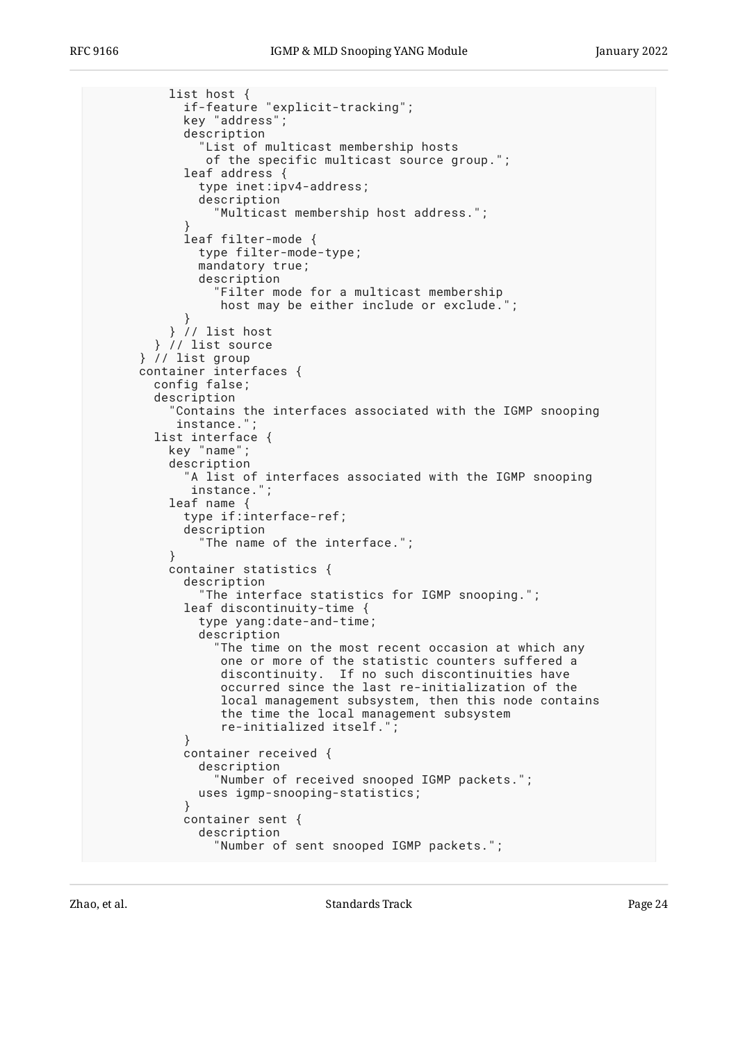```
 list host {
             if-feature "explicit-tracking";
            key "address";
            description
               "List of multicast membership hosts
               of the specific multicast source group.";
             leaf address {
               type inet:ipv4-address;
               description
                 "Multicast membership host address.";
 }
             leaf filter-mode {
              type filter-mode-type;
              mandatory true;
              description
                 "Filter mode for a multicast membership
                host may be either include or exclude.'
 }
           } // list host
        } // list source
      } // list group
      container interfaces {
        config false;
        description
           "Contains the interfaces associated with the IGMP snooping
           instance.";
        list interface {
          key "name";
          description
             "A list of interfaces associated with the IGMP snooping
             instance.";
          leaf name {
            type if:interface-ref;
            description
               "The name of the interface.";
 }
          container statistics {
            description
               "The interface statistics for IGMP snooping.";
            leaf discontinuity-time {
               type yang:date-and-time;
               description
                "The time on the most recent occasion at which any
                 one or more of the statistic counters suffered a
 discontinuity. If no such discontinuities have
 occurred since the last re-initialization of the
                 local management subsystem, then this node contains
                 the time the local management subsystem
                 re-initialized itself.";
 }
            container received {
               description
                 "Number of received snooped IGMP packets.";
              uses igmp-snooping-statistics;
 }
            container sent {
               description
                 "Number of sent snooped IGMP packets.";
```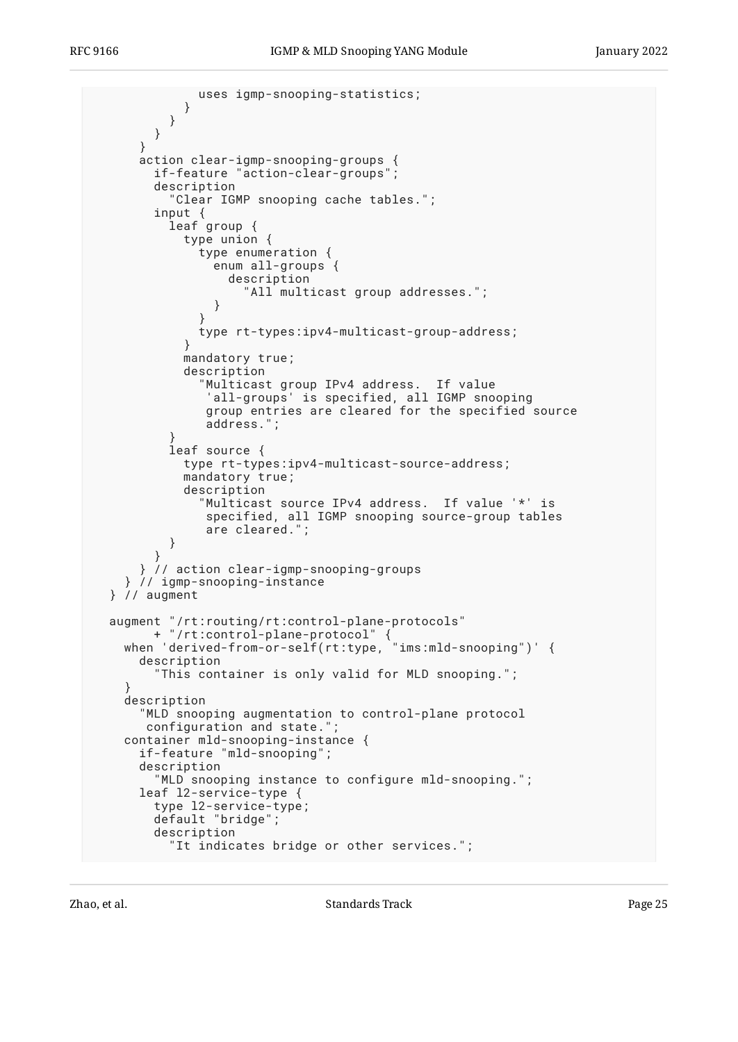```
 uses igmp-snooping-statistics;
            }
          }
        }
      }
 action clear-igmp-snooping-groups {
 if-feature "action-clear-groups";
        description
           "Clear IGMP snooping cache tables.";
 input {
 leaf group {
            type union {
              type enumeration {
                enum all-groups {
                  description
                     "All multicast group addresses.";
 }
 }
              type rt-types:ipv4-multicast-group-address;
 }
            mandatory true;
            description
               "Multicast group IPv4 address. If value
               'all-groups' is specified, all IGMP snooping
               group entries are cleared for the specified source
               address.";
 }
          leaf source {
            type rt-types:ipv4-multicast-source-address;
            mandatory true;
            description
               "Multicast source IPv4 address. If value '*' is
               specified, all IGMP snooping source-group tables
               are cleared.";
          }
        }
      } // action clear-igmp-snooping-groups
     } // igmp-snooping-instance
  } // augment
  augment "/rt:routing/rt:control-plane-protocols"
 + "/rt:control-plane-protocol" {
 when 'derived-from-or-self(rt:type, "ims:mld-snooping")' {
      description
         "This container is only valid for MLD snooping.";
 }
    description
       "MLD snooping augmentation to control-plane protocol
       configuration and state.";
    container mld-snooping-instance {
      if-feature "mld-snooping";
      description
         "MLD snooping instance to configure mld-snooping.";
      leaf l2-service-type {
        type l2-service-type;
        default "bridge";
        description
          "It indicates bridge or other services.";
```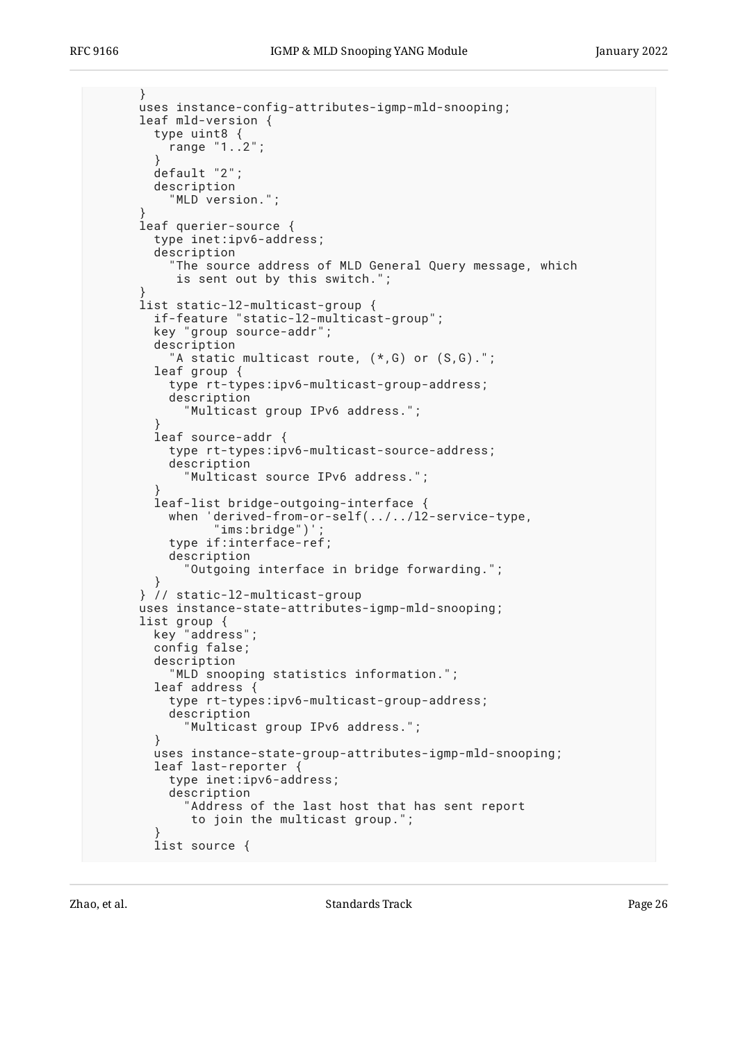```
 }
      uses instance-config-attributes-igmp-mld-snooping;
      leaf mld-version {
        type uint8 {
          range "1..2";
 }
        default "2";
        description
           "MLD version.";
 }
      leaf querier-source {
        type inet:ipv6-address;
        description
           "The source address of MLD General Query message, which
           is sent out by this switch.";
 }
      list static-l2-multicast-group {
 if-feature "static-l2-multicast-group";
 key "group source-addr";
        description
          "A static multicast route, (*, G) or (S, G).";
        leaf group {
          type rt-types:ipv6-multicast-group-address;
           description
             "Multicast group IPv6 address.";
 }
         leaf source-addr {
          type rt-types:ipv6-multicast-source-address;
          description
             "Multicast source IPv6 address.";
 }
        leaf-list bridge-outgoing-interface {
          when 'derived-from-or-self(../../l2-service-type,
                "ims:bridge")'
          type if:interface-ref;
          description
             "Outgoing interface in bridge forwarding.";
 }
      } // static-l2-multicast-group
      uses instance-state-attributes-igmp-mld-snooping;
      list group {
        key "address";
        config false;
        description
           "MLD snooping statistics information.";
        leaf address {
           type rt-types:ipv6-multicast-group-address;
          description
             "Multicast group IPv6 address.";
 }
        uses instance-state-group-attributes-igmp-mld-snooping;
        leaf last-reporter {
          type inet:ipv6-address;
          description
             "Address of the last host that has sent report
             to join the multicast group.";
 }
        list source {
```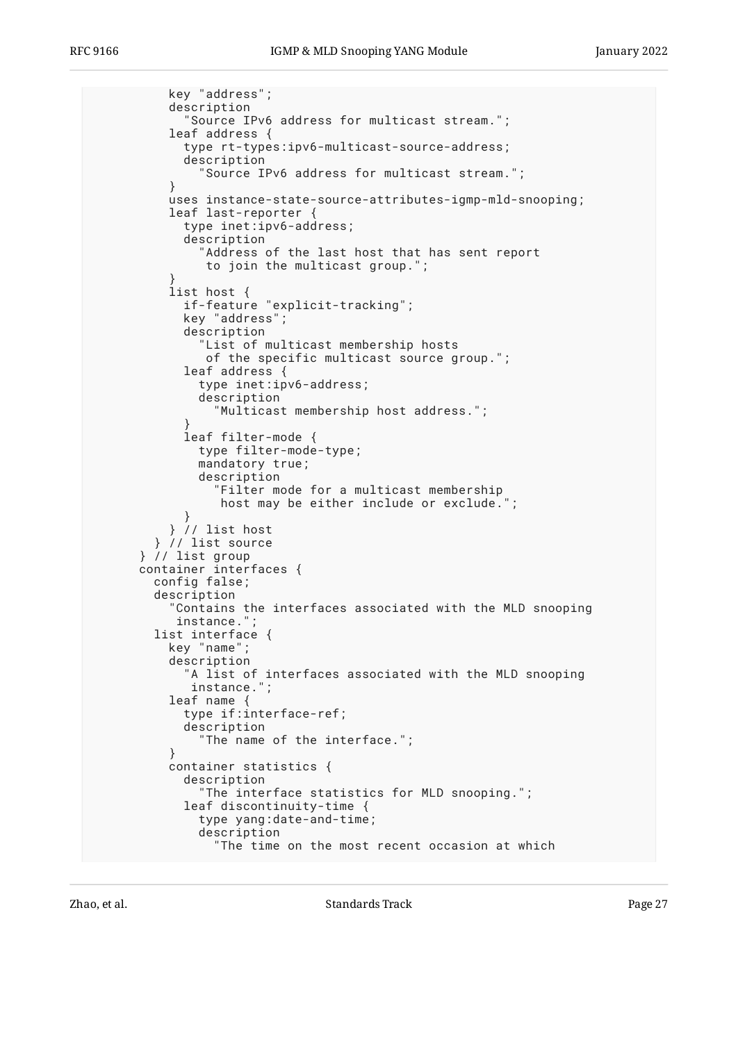key "address"; description "Source IPv6 address for multicast stream."; leaf address { type rt-types:ipv6-multicast-source-address; description "Source IPv6 address for multicast stream."; } uses instance-state-source-attributes-igmp-mld-snooping; leaf last-reporter { type inet:ipv6-address; description "Address of the last host that has sent report to join the multicast group."; } list host { if-feature "explicit-tracking"; key "address"; description "List of multicast membership hosts of the specific multicast source group."; leaf address { type inet:ipv6-address; description "Multicast membership host address."; } leaf filter-mode { type filter-mode-type; mandatory true; description "Filter mode for a multicast membership host may be either include or exclude."; } } // list host } // list source } // list group container interfaces { config false; description "Contains the interfaces associated with the MLD snooping instance."; list interface { key "name"; description "A list of interfaces associated with the MLD snooping instance."; leaf name { type if:interface-ref; description "The name of the interface."; } container statistics { description "The interface statistics for MLD snooping."; leaf discontinuity-time { type yang:date-and-time; description "The time on the most recent occasion at which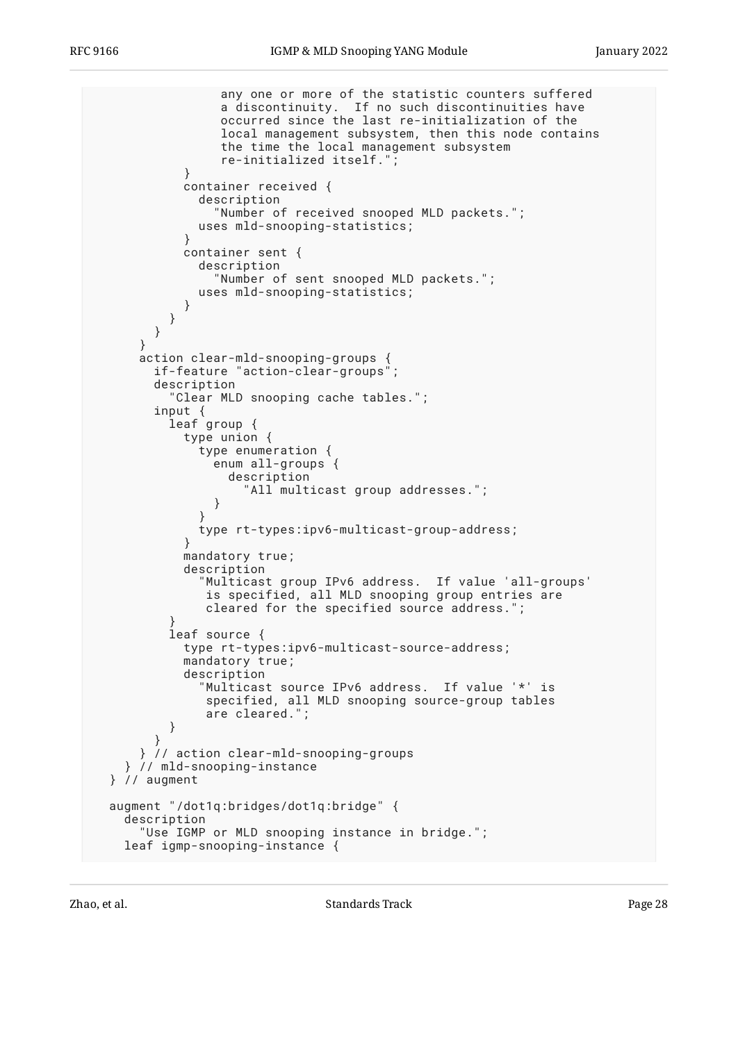```
 any one or more of the statistic counters suffered
                 a discontinuity. If no such discontinuities have
                 occurred since the last re-initialization of the
                 local management subsystem, then this node contains
                 the time the local management subsystem
                 re-initialized itself.";
 }
            container received {
              description
                "Number of received snooped MLD packets.";
              uses mld-snooping-statistics;
 }
            container sent {
              description
                "Number of sent snooped MLD packets.";
              uses mld-snooping-statistics;
 }
          }
        }
      }
      action clear-mld-snooping-groups {
        if-feature "action-clear-groups";
        description
          "Clear MLD snooping cache tables.";
 input {
 leaf group {
            type union {
              type enumeration {
                enum all-groups {
                  description
                    "All multicast group addresses.";
 }
 }
              type rt-types:ipv6-multicast-group-address;
 }
            mandatory true;
            description
              "Multicast group IPv6 address. If value 'all-groups'
               is specified, all MLD snooping group entries are
               cleared for the specified source address.";
 }
          leaf source {
            type rt-types:ipv6-multicast-source-address;
            mandatory true;
            description
              Multicast source IPv6 address. If value '*' is
               specified, all MLD snooping source-group tables
         are cleared.";<br>}
 }
        }
      } // action clear-mld-snooping-groups
    } // mld-snooping-instance
  } // augment
  augment "/dot1q:bridges/dot1q:bridge" {
    description
      "Use IGMP or MLD snooping instance in bridge.";
    leaf igmp-snooping-instance {
```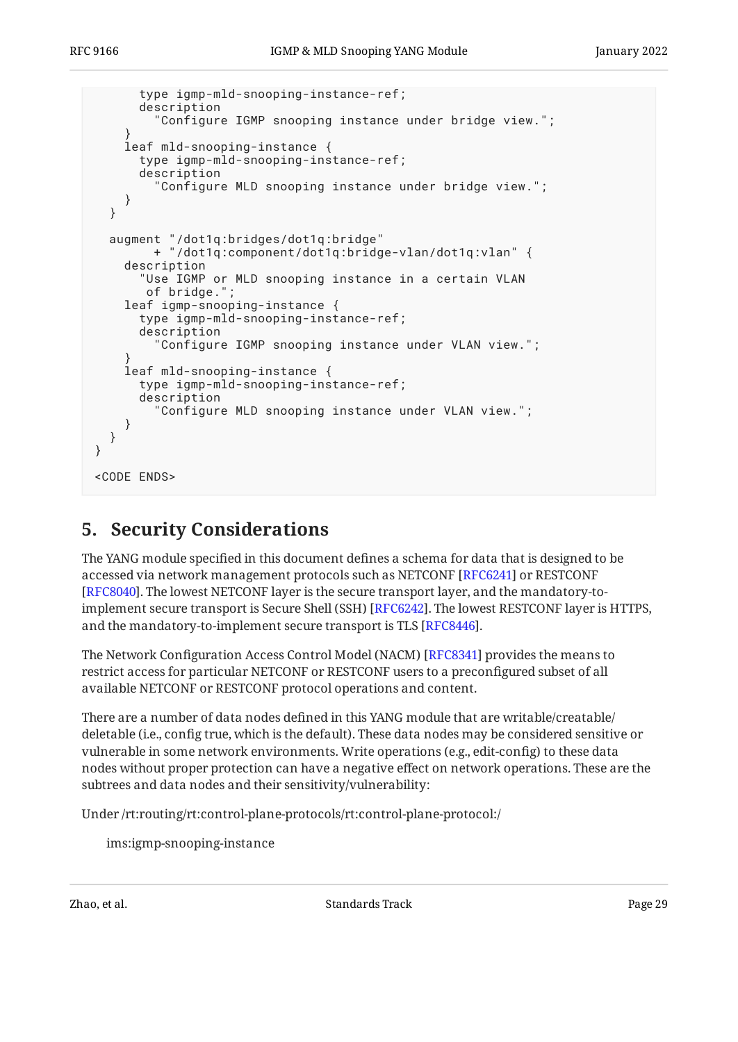```
 type igmp-mld-snooping-instance-ref;
       description
         "Configure IGMP snooping instance under bridge view.";
 }
     leaf mld-snooping-instance {
       type igmp-mld-snooping-instance-ref;
       description
         "Configure MLD snooping instance under bridge view.";
     }
   }
   augment "/dot1q:bridges/dot1q:bridge"
         + "/dot1q:component/dot1q:bridge-vlan/dot1q:vlan" {
     description
       "Use IGMP or MLD snooping instance in a certain VLAN
       of bridge.'
     leaf igmp-snooping-instance {
       type igmp-mld-snooping-instance-ref;
       description
         "Configure IGMP snooping instance under VLAN view.";
 }
     leaf mld-snooping-instance {
       type igmp-mld-snooping-instance-ref;
       description
         "Configure MLD snooping instance under VLAN view.";
     }
   }
}
<CODE ENDS>
```
## <span id="page-28-0"></span>**[5. Security Considerations](#page-28-0)**

The YANG module specified in this document defines a schema for data that is designed to be accessed via network management protocols such as NETCONF [RFC6241] or RESTCONF [[RFC8040\]](#page-31-11). The lowest NETCONF layer is the secure transport layer, and the mandatory-toimplement secure transport is Secure Shell (SSH) [RFC6242]. The lowest RESTCONF layer is HTTPS,  $\,$ and the mandatory-to-implement secure transport is TLS [RFC8446].

The Network Configuration Access Control Model (NACM) [[RFC8341\]](#page-32-9) provides the means to restrict access for particular NETCONF or RESTCONF users to a preconfigured subset of all available NETCONF or RESTCONF protocol operations and content.

There are a number of data nodes defined in this YANG module that are writable/creatable/ deletable (i.e., config true, which is the default). These data nodes may be considered sensitive or vulnerable in some network environments. Write operations (e.g., edit-config) to these data nodes without proper protection can have a negative effect on network operations. These are the subtrees and data nodes and their sensitivity/vulnerability:

Under /rt:routing/rt:control-plane-protocols/rt:control-plane-protocol:/

ims:igmp-snooping-instance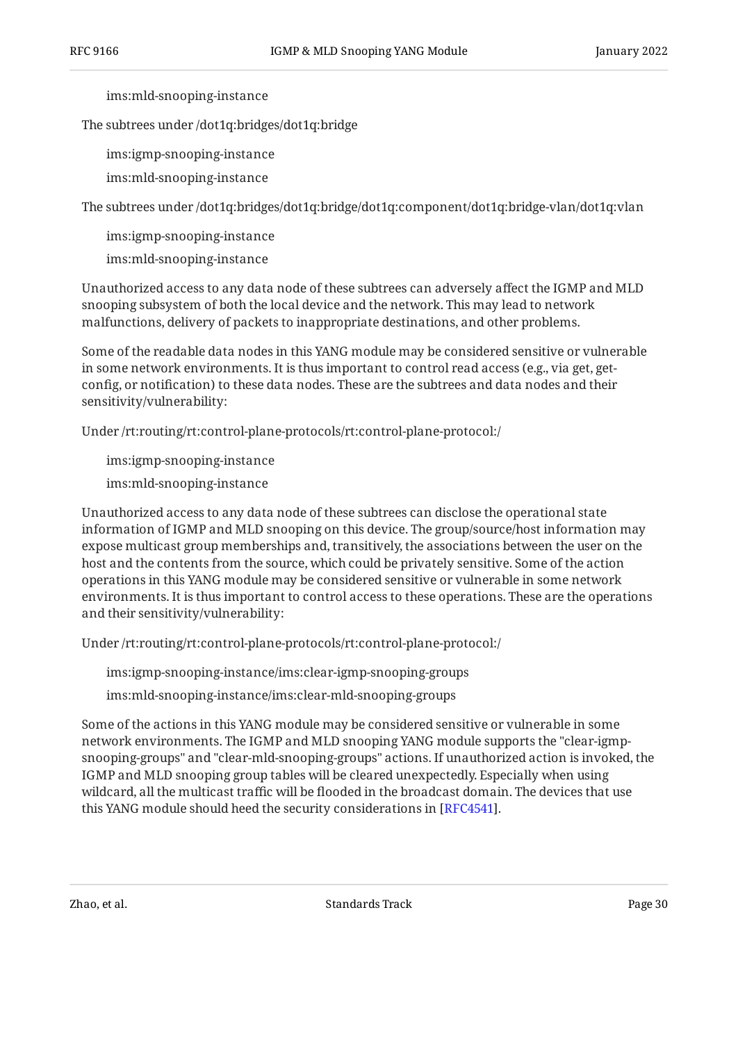ims:mld-snooping-instance

The subtrees under /dot1q:bridges/dot1q:bridge

ims:igmp-snooping-instance

ims:mld-snooping-instance

The subtrees under /dot1q:bridges/dot1q:bridge/dot1q:component/dot1q:bridge-vlan/dot1q:vlan

ims:igmp-snooping-instance

ims:mld-snooping-instance

Unauthorized access to any data node of these subtrees can adversely affect the IGMP and MLD snooping subsystem of both the local device and the network. This may lead to network malfunctions, delivery of packets to inappropriate destinations, and other problems.

Some of the readable data nodes in this YANG module may be considered sensitive or vulnerable in some network environments. It is thus important to control read access (e.g., via get, getconfig, or notification) to these data nodes. These are the subtrees and data nodes and their sensitivity/vulnerability:

Under /rt:routing/rt:control-plane-protocols/rt:control-plane-protocol:/

ims:igmp-snooping-instance

ims:mld-snooping-instance

Unauthorized access to any data node of these subtrees can disclose the operational state information of IGMP and MLD snooping on this device. The group/source/host information may expose multicast group memberships and, transitively, the associations between the user on the host and the contents from the source, which could be privately sensitive. Some of the action operations in this YANG module may be considered sensitive or vulnerable in some network environments. It is thus important to control access to these operations. These are the operations and their sensitivity/vulnerability:

Under /rt:routing/rt:control-plane-protocols/rt:control-plane-protocol:/

ims:igmp-snooping-instance/ims:clear-igmp-snooping-groups

ims:mld-snooping-instance/ims:clear-mld-snooping-groups

Some of the actions in this YANG module may be considered sensitive or vulnerable in some network environments. The IGMP and MLD snooping YANG module supports the "clear-igmpsnooping-groups" and "clear-mld-snooping-groups" actions. If unauthorized action is invoked, the IGMP and MLD snooping group tables will be cleared unexpectedly. Especially when using wildcard, all the multicast traffic will be flooded in the broadcast domain. The devices that use this YANG module should heed the security considerations in [\[RFC4541](#page-31-1)].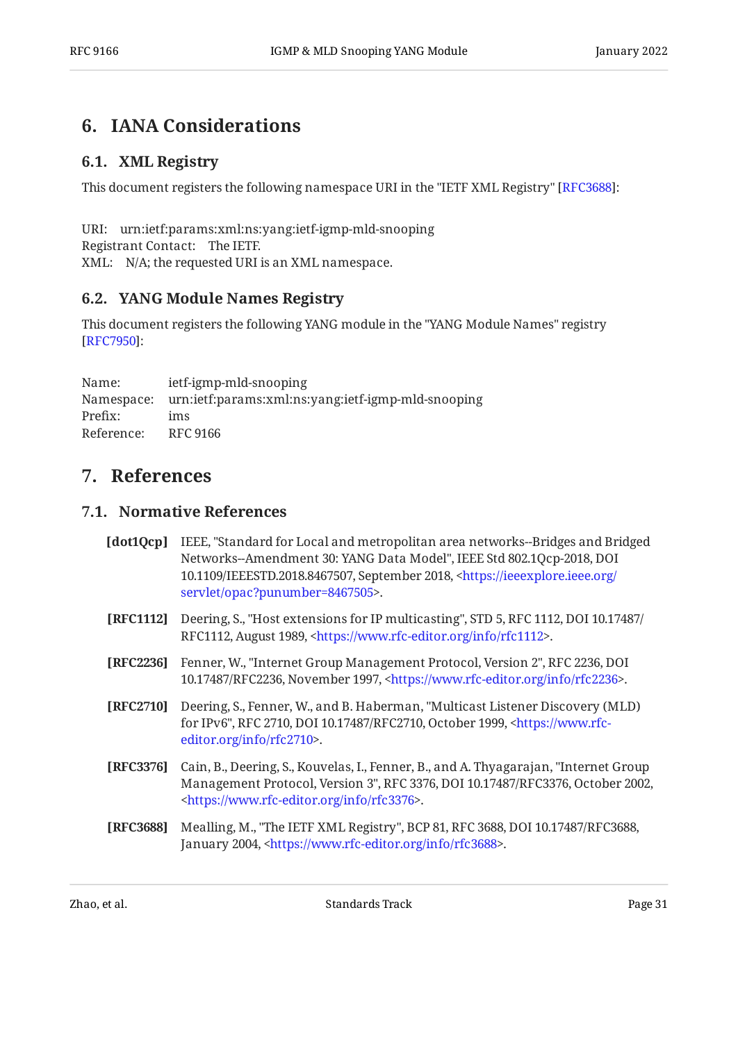## <span id="page-30-1"></span><span id="page-30-0"></span>**[6. IANA Considerations](#page-30-0)**

### **[6.1. XML Registry](#page-30-1)**

This document registers the following namespace URI in the "IETF XML Registry" [RFC3688]:

URI: urn:ietf:params:xml:ns:yang:ietf-igmp-mld-snooping Registrant Contact: The IETF. XML: N/A; the requested URI is an XML namespace.

### <span id="page-30-2"></span>**[6.2. YANG Module Names Registry](#page-30-2)**

This document registers the following YANG module in the "YANG Module Names" registry : [[RFC7950\]](#page-31-0)

Name: Namespace: urn:ietf:params:xml:ns:yang:ietf-igmp-mld-snooping Prefix: Reference: RFC 9166 ietf-igmp-mld-snooping ims

### <span id="page-30-4"></span><span id="page-30-3"></span>**[7. References](#page-30-3)**

### **[7.1. Normative References](#page-30-4)**

<span id="page-30-9"></span><span id="page-30-8"></span><span id="page-30-7"></span><span id="page-30-6"></span>

| [dot1Qcp] | IEEE, "Standard for Local and metropolitan area networks--Bridges and Bridged<br>Networks--Amendment 30: YANG Data Model", IEEE Std 802.1Qcp-2018, DOI<br>10.1109/IEEESTD.2018.8467507, September 2018, <https: <br="" ieeexplore.ieee.org="">servlet/opac?punumber=8467505&gt;.</https:> |
|-----------|-------------------------------------------------------------------------------------------------------------------------------------------------------------------------------------------------------------------------------------------------------------------------------------------|
| [RFC1112] | Deering, S., "Host extensions for IP multicasting", STD 5, RFC 1112, DOI 10.17487/<br>RFC1112, August 1989, <https: info="" rfc1112="" www.rfc-editor.org="">.</https:>                                                                                                                   |
| [RFC2236] | Fenner, W., "Internet Group Management Protocol, Version 2", RFC 2236, DOI<br>10.17487/RFC2236, November 1997, <https: info="" rfc2236="" www.rfc-editor.org="">.</https:>                                                                                                                |
| [RFC2710] | Deering, S., Fenner, W., and B. Haberman, "Multicast Listener Discovery (MLD)<br>for IPv6", RFC 2710, DOI 10.17487/RFC2710, October 1999, <https: www.rfc-<br="">editor.org/info/rfc2710&gt;.</https:>                                                                                    |
| [RFC3376] | Cain, B., Deering, S., Kouvelas, I., Fenner, B., and A. Thyagarajan, "Internet Group<br>Management Protocol, Version 3", RFC 3376, DOI 10.17487/RFC3376, October 2002,<br><https: info="" rfc3376="" www.rfc-editor.org="">.</https:>                                                     |
| [RFC3688] | Mealling, M., "The IETF XML Registry", BCP 81, RFC 3688, DOI 10.17487/RFC3688,<br>January 2004, <https: info="" rfc3688="" www.rfc-editor.org="">.</https:>                                                                                                                               |

<span id="page-30-10"></span><span id="page-30-5"></span>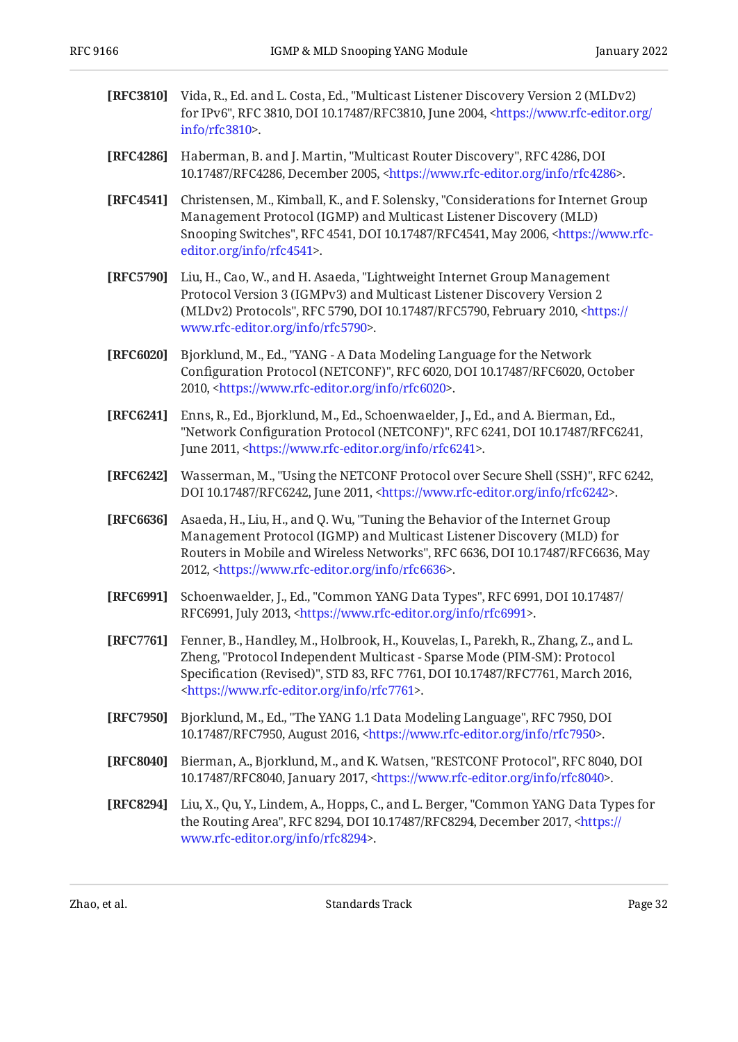<span id="page-31-12"></span><span id="page-31-10"></span><span id="page-31-7"></span><span id="page-31-4"></span><span id="page-31-3"></span><span id="page-31-2"></span><span id="page-31-1"></span>

| [RFC3810] | Vida, R., Ed. and L. Costa, Ed., "Multicast Listener Discovery Version 2 (MLDv2)<br>for IPv6", RFC 3810, DOI 10.17487/RFC3810, June 2004, <https: <br="" www.rfc-editor.org="">info/rfc3810&gt;.</https:>                                                                                                     |
|-----------|---------------------------------------------------------------------------------------------------------------------------------------------------------------------------------------------------------------------------------------------------------------------------------------------------------------|
| [RFC4286] | Haberman, B. and J. Martin, "Multicast Router Discovery", RFC 4286, DOI<br>10.17487/RFC4286, December 2005, <https: info="" rfc4286="" www.rfc-editor.org="">.</https:>                                                                                                                                       |
| [RFC4541] | Christensen, M., Kimball, K., and F. Solensky, "Considerations for Internet Group<br>Management Protocol (IGMP) and Multicast Listener Discovery (MLD)<br>Snooping Switches", RFC 4541, DOI 10.17487/RFC4541, May 2006, <https: www.rfc-<br="">editor.org/info/rfc4541&gt;.</https:>                          |
| [RFC5790] | Liu, H., Cao, W., and H. Asaeda, "Lightweight Internet Group Management<br>Protocol Version 3 (IGMPv3) and Multicast Listener Discovery Version 2<br>(MLDv2) Protocols", RFC 5790, DOI 10.17487/RFC5790, February 2010, <https: <br="">www.rfc-editor.org/info/rfc5790&gt;.</https:>                          |
| [RFC6020] | Bjorklund, M., Ed., "YANG - A Data Modeling Language for the Network<br>Configuration Protocol (NETCONF)", RFC 6020, DOI 10.17487/RFC6020, October<br>2010, <https: info="" rfc6020="" www.rfc-editor.org="">.</https:>                                                                                       |
| [RFC6241] | Enns, R., Ed., Bjorklund, M., Ed., Schoenwaelder, J., Ed., and A. Bierman, Ed.,<br>"Network Configuration Protocol (NETCONF)", RFC 6241, DOI 10.17487/RFC6241,<br>June 2011, <https: info="" rfc6241="" www.rfc-editor.org="">.</https:>                                                                      |
| [RFC6242] | Wasserman, M., "Using the NETCONF Protocol over Secure Shell (SSH)", RFC 6242,<br>DOI 10.17487/RFC6242, June 2011, <https: info="" rfc6242="" www.rfc-editor.org="">.</https:>                                                                                                                                |
| [RFC6636] | Asaeda, H., Liu, H., and Q. Wu, "Tuning the Behavior of the Internet Group<br>Management Protocol (IGMP) and Multicast Listener Discovery (MLD) for<br>Routers in Mobile and Wireless Networks", RFC 6636, DOI 10.17487/RFC6636, May<br>2012, <https: info="" rfc6636="" www.rfc-editor.org="">.</https:>     |
| [RFC6991] | Schoenwaelder, J., Ed., "Common YANG Data Types", RFC 6991, DOI 10.17487/<br>RFC6991, July 2013, <https: info="" rfc6991="" www.rfc-editor.org="">.</https:>                                                                                                                                                  |
| [RFC7761] | Fenner, B., Handley, M., Holbrook, H., Kouvelas, I., Parekh, R., Zhang, Z., and L.<br>Zheng, "Protocol Independent Multicast - Sparse Mode (PIM-SM): Protocol<br>Specification (Revised)", STD 83, RFC 7761, DOI 10.17487/RFC7761, March 2016,<br><https: info="" rfc7761="" www.rfc-editor.org="">.</https:> |
| [RFC7950] | Bjorklund, M., Ed., "The YANG 1.1 Data Modeling Language", RFC 7950, DOI<br>10.17487/RFC7950, August 2016, <https: info="" rfc7950="" www.rfc-editor.org="">.</https:>                                                                                                                                        |
| [RFC8040] | Bierman, A., Bjorklund, M., and K. Watsen, "RESTCONF Protocol", RFC 8040, DOI<br>10.17487/RFC8040, January 2017, <https: info="" rfc8040="" www.rfc-editor.org="">.</https:>                                                                                                                                  |
| [RFC8294] | Liu, X., Qu, Y., Lindem, A., Hopps, C., and L. Berger, "Common YANG Data Types for<br>the Routing Area", RFC 8294, DOI 10.17487/RFC8294, December 2017, <https: <br="">www.rfc-editor.org/info/rfc8294&gt;.</https:>                                                                                          |

<span id="page-31-11"></span><span id="page-31-9"></span><span id="page-31-8"></span><span id="page-31-6"></span><span id="page-31-5"></span><span id="page-31-0"></span>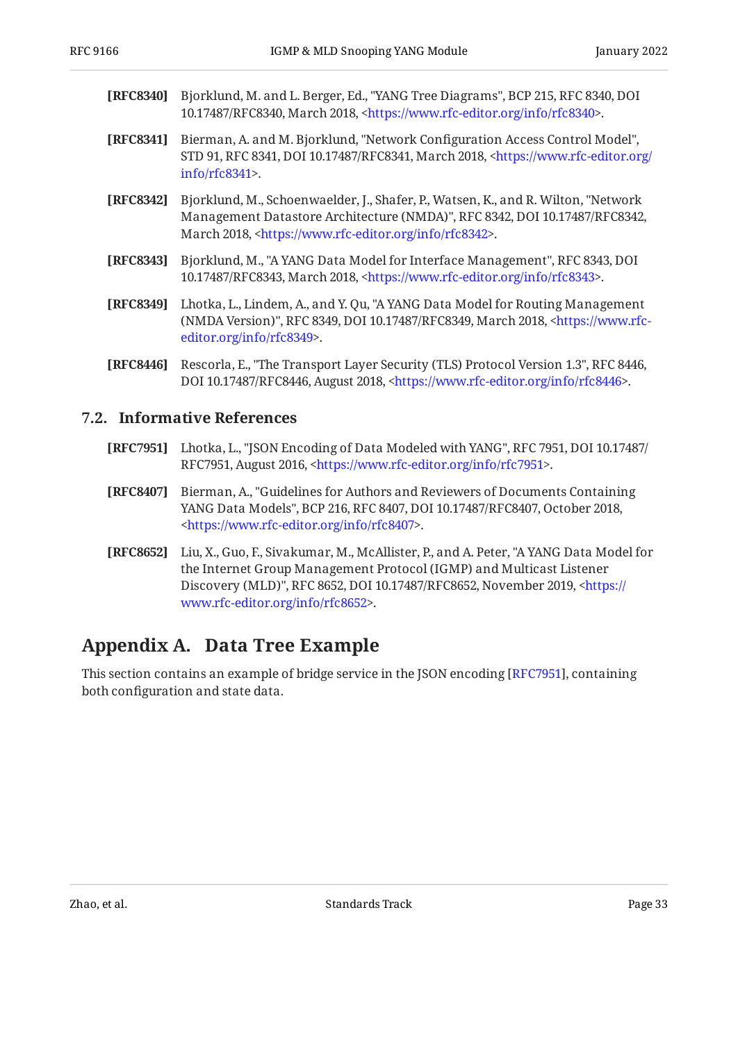- <span id="page-32-3"></span>**[RFC8340]** Bjorklund, M. and L. Berger, Ed., "YANG Tree Diagrams", BCP 215, RFC 8340, DOI 10.17487/RFC8340, March 2018, <https://www.rfc-editor.org/info/rfc8340>.
- <span id="page-32-9"></span>**[RFC8341]** Bierman, A. and M. Bjorklund, "Network Configuration Access Control Model", STD 91, RFC 8341, DOI 10.17487/RFC8341, March 2018, [<https://www.rfc-editor.org/](https://www.rfc-editor.org/info/rfc8341) . [info/rfc8341>](https://www.rfc-editor.org/info/rfc8341)
- <span id="page-32-2"></span>**[RFC8342]** Bjorklund, M., Schoenwaelder, J., Shafer, P., Watsen, K., and R. Wilton, "Network Management Datastore Architecture (NMDA)", RFC 8342, DOI 10.17487/RFC8342, March 2018, <https://www.rfc-editor.org/info/rfc8342>.
- <span id="page-32-4"></span>**[RFC8343]** Bjorklund, M., "A YANG Data Model for Interface Management", RFC 8343, DOI 10.17487/RFC8343, March 2018, <https://www.rfc-editor.org/info/rfc8343>.
- <span id="page-32-5"></span>**[RFC8349]** Lhotka, L., Lindem, A., and Y. Qu, "A YANG Data Model for Routing Management (NMDA Version)", RFC 8349, DOI 10.17487/RFC8349, March 2018, [<https://www.rfc-](https://www.rfc-editor.org/info/rfc8349). [editor.org/info/rfc8349](https://www.rfc-editor.org/info/rfc8349)>
- <span id="page-32-8"></span>**[RFC8446]** Rescorla, E., "The Transport Layer Security (TLS) Protocol Version 1.3", RFC 8446, DOI 10.17487/RFC8446, August 2018, <https://www.rfc-editor.org/info/rfc8446>.

#### <span id="page-32-0"></span>**[7.2. Informative References](#page-32-0)**

- <span id="page-32-10"></span>**[RFC7951]** Lhotka, L., "JSON Encoding of Data Modeled with YANG", RFC 7951, DOI 10.17487/ RFC7951, August 2016, <https://www.rfc-editor.org/info/rfc7951>.
- <span id="page-32-7"></span>**[RFC8407]** , Bierman, A. "Guidelines for Authors and Reviewers of Documents Containing YANG Data Models", BCP 216, RFC 8407, DOI 10.17487/RFC8407, October 2018, . [<https://www.rfc-editor.org/info/rfc8407](https://www.rfc-editor.org/info/rfc8407)>
- <span id="page-32-6"></span>**[RFC8652]** Liu, X., Guo, F., Sivakumar, M., McAllister, P., and A. Peter, "A YANG Data Model for Discovery (MLD)", RFC 8652, DOI 10.17487/RFC8652, November 2019, [<https://](https://www.rfc-editor.org/info/rfc8652) . [www.rfc-editor.org/info/rfc8652>](https://www.rfc-editor.org/info/rfc8652) the Internet Group Management Protocol (IGMP) and Multicast Listener

### <span id="page-32-1"></span>**[Appendix A. Data Tree Example](#page-32-1)**

This section contains an example of bridge service in the JSON encoding [RFC7951], containing both configuration and state data.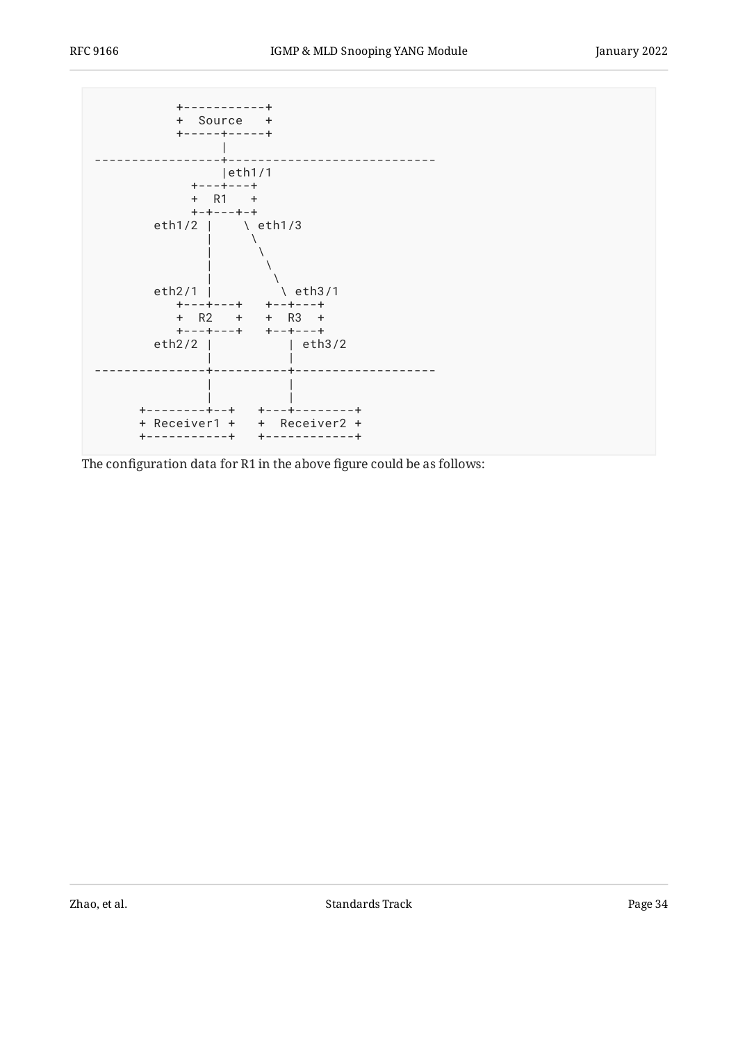

The configuration data for R1 in the above figure could be as follows: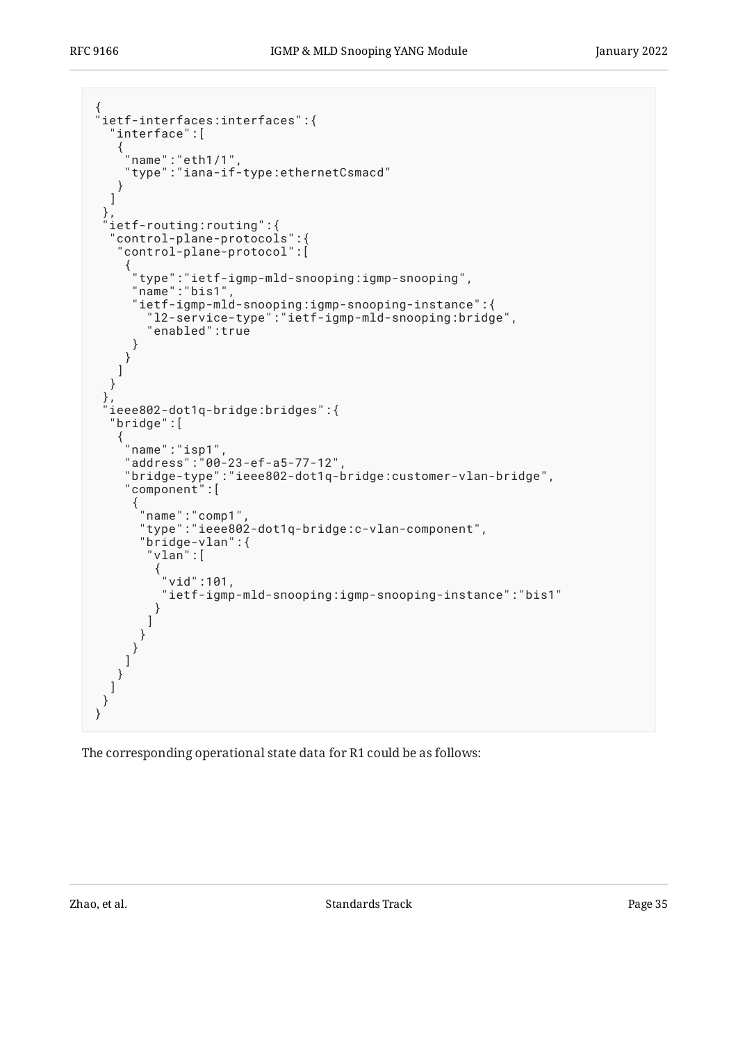```
{
"ietf-interfaces:interfaces":{
    "interface":[
\{ \cdot \cdot \cdot \cdot \cdot \cdot \cdot \cdot \cdot \cdot \cdot \cdot \cdot \cdot \cdot \cdot \cdot \cdot \cdot \cdot \cdot \cdot \cdot \cdot \cdot \cdot \cdot \cdot \cdot \cdot \cdot \cdot \cdot \cdot \cdot \cdot 
 "name":"eth1/1",
 "type":"iana-if-type:ethernetCsmacd"
 }
    ]
 },
 "ietf-routing:routing":{
     "control-plane-protocols":{
      "control-plane-protocol":[
\{ \cdot \cdot \cdot \cdot \cdot \cdot \cdot \cdot \cdot \cdot \cdot \cdot \cdot \cdot \cdot \cdot \cdot \cdot \cdot \cdot \cdot \cdot \cdot \cdot \cdot \cdot \cdot \cdot \cdot \cdot \cdot \cdot \cdot \cdot \cdot \cdot 
 "type":"ietf-igmp-mld-snooping:igmp-snooping",
 "name":"bis1",
          "ietf-igmp-mld-snooping:igmp-snooping-instance":{
              "l2-service-type":"ietf-igmp-mld-snooping:bridge",
             "enabled":true
         }
        }
      ]
    }
   },
    "ieee802-dot1q-bridge:bridges":{
    "bridge":[
\{ \cdot \cdot \cdot \cdot \cdot \cdot \cdot \cdot \cdot \cdot \cdot \cdot \cdot \cdot \cdot \cdot \cdot \cdot \cdot \cdot \cdot \cdot \cdot \cdot \cdot \cdot \cdot \cdot \cdot \cdot \cdot \cdot \cdot \cdot \cdot \cdot 
 "name":"isp1",
        "address":"00-23-ef-a5-77-12",
        "bridge-type":"ieee802-dot1q-bridge:customer-vlan-bridge",
        "component":[
\{ "name":"comp1",
 "type":"ieee802-dot1q-bridge:c-vlan-component",
 "bridge-vlan":{
 "vlan":[
\{ "vid":101,
                 "ietf-igmp-mld-snooping:igmp-snooping-instance":"bis1"
            \left\{\right\} ]
 }
 }
\blacksquare }
\blacksquare }
}
```
The corresponding operational state data for R1 could be as follows: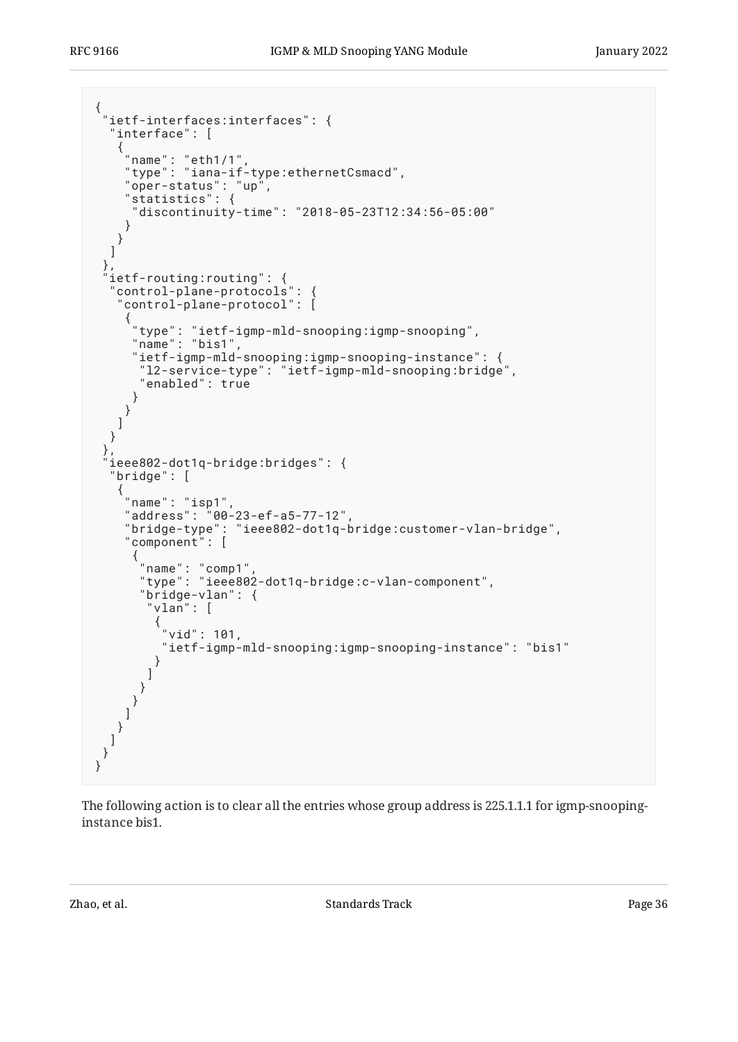```
{
 "ietf-interfaces:interfaces": {
    "interface": [
\{ \cdot \cdot \cdot \cdot \cdot \cdot \cdot \cdot \cdot \cdot \cdot \cdot \cdot \cdot \cdot \cdot \cdot \cdot \cdot \cdot \cdot \cdot \cdot \cdot \cdot \cdot \cdot \cdot \cdot \cdot \cdot \cdot \cdot \cdot \cdot \cdot 
 "name": "eth1/1",
 "type": "iana-if-type:ethernetCsmacd",
 "oper-status": "up",
 "statistics": {
       "discontinuity-time": "2018-05-23T12:34:56-05:00"
      }
     }
   ]
 },
 "ietf-routing:routing": {
    "control-plane-protocols": {
     "control-plane-protocol": [
\{ \{ \} "type": "ietf-igmp-mld-snooping:igmp-snooping",
 "name": "bis1",
        "ietf-igmp-mld-snooping:igmp-snooping-instance": {
         "l2-service-type": "ietf-igmp-mld-snooping:bridge",
         "enabled": true
        }
      }
     ]
   }
 },
   "ieee802-dot1q-bridge:bridges": {
    "bridge": [
\{ \cdot \cdot \cdot \cdot \cdot \cdot \cdot \cdot \cdot \cdot \cdot \cdot \cdot \cdot \cdot \cdot \cdot \cdot \cdot \cdot \cdot \cdot \cdot \cdot \cdot \cdot \cdot \cdot \cdot \cdot \cdot \cdot \cdot \cdot \cdot \cdot 
 "name": "isp1",
 "address": "00-23-ef-a5-77-12",
       "bridge-type": "ieee802-dot1q-bridge:customer-vlan-bridge",
 "component": [
\{ "name": "comp1",
 "type": "ieee802-dot1q-bridge:c-vlan-component",
 "bridge-vlan": {
 "vlan": [
\{ "vid": 101,
              "ietf-igmp-mld-snooping:igmp-snooping-instance": "bis1"
 }
        \big\} }
 }
\blacksquare }
\Box }
}
```
The following action is to clear all the entries whose group address is 225.1.1.1 for igmp-snoopinginstance bis1.